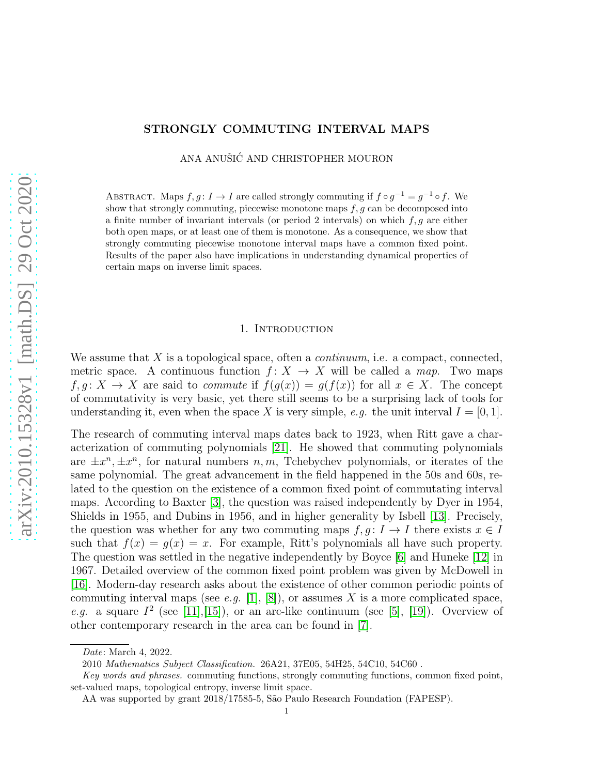# STRONGLY COMMUTING INTERVAL MAPS

ANA ANUŠIĆ AND CHRISTOPHER MOURON

ABSTRACT. Maps  $f, g: I \to I$  are called strongly commuting if  $f \circ g^{-1} = g^{-1} \circ f$ . We show that strongly commuting, piecewise monotone maps  $f, g$  can be decomposed into a finite number of invariant intervals (or period 2 intervals) on which  $f, g$  are either both open maps, or at least one of them is monotone. As a consequence, we show that strongly commuting piecewise monotone interval maps have a common fixed point. Results of the paper also have implications in understanding dynamical properties of certain maps on inverse limit spaces.

### 1. INTRODUCTION

We assume that X is a topological space, often a *continuum*, i.e. a compact, connected, metric space. A continuous function  $f: X \to X$  will be called a *map*. Two maps  $f, g: X \to X$  are said to *commute* if  $f(g(x)) = g(f(x))$  for all  $x \in X$ . The concept of commutativity is very basic, yet there still seems to be a surprising lack of tools for understanding it, even when the space X is very simple, *e.g.* the unit interval  $I = [0, 1]$ .

The research of commuting interval maps dates back to 1923, when Ritt gave a characterization of commuting polynomials [\[21\]](#page-27-0). He showed that commuting polynomials are  $\pm x^n, \pm x^n$ , for natural numbers n, m, Tchebychev polynomials, or iterates of the same polynomial. The great advancement in the field happened in the 50s and 60s, related to the question on the existence of a common fixed point of commutating interval maps. According to Baxter [\[3\]](#page-26-0), the question was raised independently by Dyer in 1954, Shields in 1955, and Dubins in 1956, and in higher generality by Isbell [\[13\]](#page-26-1). Precisely, the question was whether for any two commuting maps  $f, g: I \to I$  there exists  $x \in I$ such that  $f(x) = g(x) = x$ . For example, Ritt's polynomials all have such property. The question was settled in the negative independently by Boyce [\[6\]](#page-26-2) and Huneke [\[12\]](#page-26-3) in 1967. Detailed overview of the common fixed point problem was given by McDowell in [\[16\]](#page-27-1). Modern-day research asks about the existence of other common periodic points of commuting interval maps (see *e.g.* [\[1\]](#page-26-4), [\[8\]](#page-26-5)), or assumes X is a more complicated space, *e.g.* a square  $I^2$  (see [\[11\]](#page-26-6), [\[15\]](#page-27-2)), or an arc-like continuum (see [\[5\]](#page-26-7), [\[19\]](#page-27-3)). Overview of other contemporary research in the area can be found in [\[7\]](#page-26-8).

Date: March 4, 2022.

<sup>2010</sup> Mathematics Subject Classification. 26A21, 37E05, 54H25, 54C10, 54C60 .

Key words and phrases. commuting functions, strongly commuting functions, common fixed point, set-valued maps, topological entropy, inverse limit space.

AA was supported by grant 2018/17585-5, São Paulo Research Foundation (FAPESP).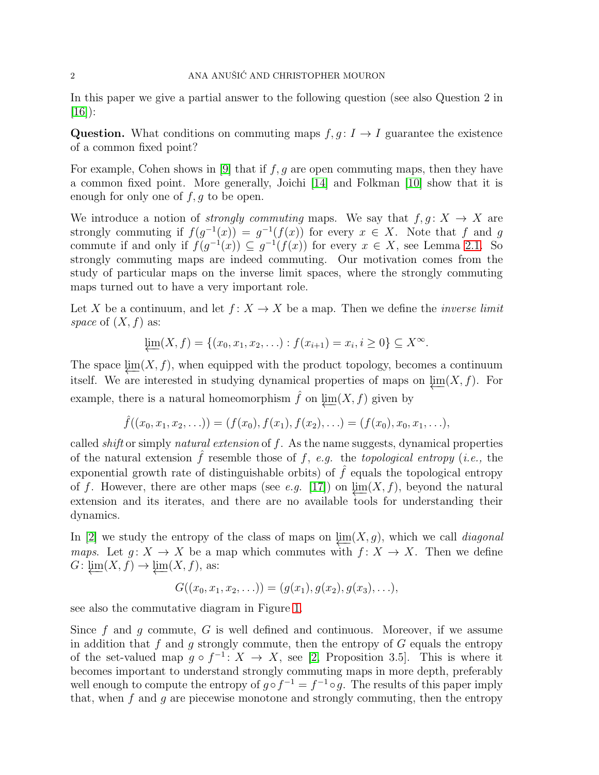In this paper we give a partial answer to the following question (see also Question 2 in  $[16]$ :

Question. What conditions on commuting maps  $f, g: I \to I$  guarantee the existence of a common fixed point?

For example, Cohen shows in [\[9\]](#page-26-9) that if  $f, g$  are open commuting maps, then they have a common fixed point. More generally, Joichi [\[14\]](#page-26-10) and Folkman [\[10\]](#page-26-11) show that it is enough for only one of  $f, g$  to be open.

We introduce a notion of *strongly commuting* maps. We say that  $f, g: X \to X$  are strongly commuting if  $f(g^{-1}(x)) = g^{-1}(f(x))$  for every  $x \in X$ . Note that f and g commute if and only if  $f(g^{-1}(x)) \subseteq g^{-1}(f(x))$  for every  $x \in X$ , see Lemma [2.1.](#page-4-0) So strongly commuting maps are indeed commuting. Our motivation comes from the study of particular maps on the inverse limit spaces, where the strongly commuting maps turned out to have a very important role.

Let X be a continuum, and let  $f: X \to X$  be a map. Then we define the *inverse limit space* of  $(X, f)$  as:

$$
\varprojlim(X, f) = \{(x_0, x_1, x_2, \ldots) : f(x_{i+1}) = x_i, i \ge 0\} \subseteq X^{\infty}.
$$

The space  $\lim(X, f)$ , when equipped with the product topology, becomes a continuum itself. We are interested in studying dynamical properties of maps on  $\lim_{x \to \infty}$ . For example, there is a natural homeomorphism  $\hat{f}$  on  $\lim(X, f)$  given by

$$
\hat{f}((x_0,x_1,x_2,\ldots))=(f(x_0),f(x_1),f(x_2),\ldots)=(f(x_0),x_0,x_1,\ldots),
$$

called *shift* or simply *natural extension* of f. As the name suggests, dynamical properties of the natural extension  $\hat{f}$  resemble those of f, e.g. the *topological entropy* (*i.e.*, the exponential growth rate of distinguishable orbits) of  $\hat{f}$  equals the topological entropy of f. However, there are other maps (see *e.g.* [\[17\]](#page-27-4)) on  $\lim(X, f)$ , beyond the natural extension and its iterates, and there are no available tools for understanding their dynamics.

In [\[2\]](#page-26-12) we study the entropy of the class of maps on  $\lim(X, g)$ , which we call *diagonal maps.* Let  $g: X \to X$  be a map which commutes with  $f: X \to X$ . Then we define  $G: \varprojlim(X, f) \to \varprojlim(X, f)$ , as:

$$
G((x_0,x_1,x_2,\ldots))=(g(x_1),g(x_2),g(x_3),\ldots),
$$

see also the commutative diagram in Figure [1.](#page-2-0)

Since f and q commute, G is well defined and continuous. Moreover, if we assume in addition that f and g strongly commute, then the entropy of  $G$  equals the entropy of the set-valued map  $g \circ f^{-1}: X \to X$ , see [\[2,](#page-26-12) Proposition 3.5]. This is where it becomes important to understand strongly commuting maps in more depth, preferably well enough to compute the entropy of  $g \circ f^{-1} = f^{-1} \circ g$ . The results of this paper imply that, when  $f$  and  $g$  are piecewise monotone and strongly commuting, then the entropy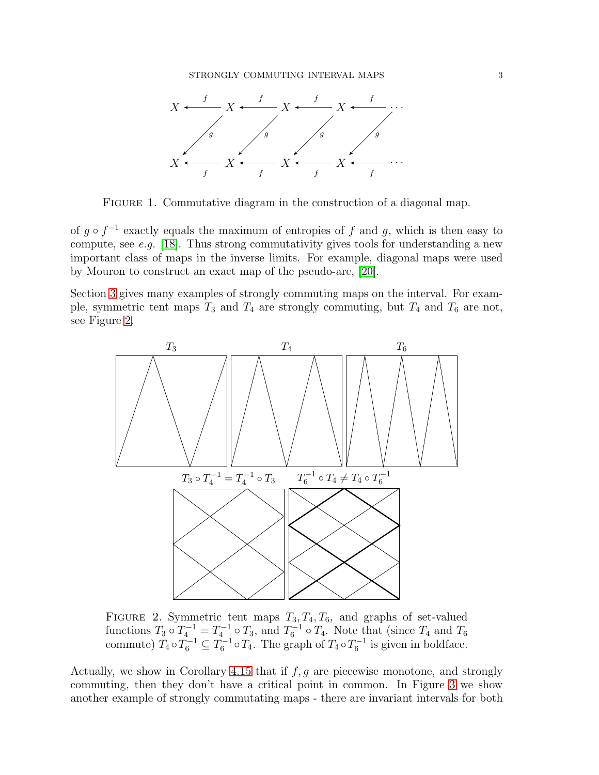

<span id="page-2-0"></span>FIGURE 1. Commutative diagram in the construction of a diagonal map.

of  $g \circ f^{-1}$  exactly equals the maximum of entropies of f and g, which is then easy to compute, see *e.g.* [\[18\]](#page-27-5). Thus strong commutativity gives tools for understanding a new important class of maps in the inverse limits. For example, diagonal maps were used by Mouron to construct an exact map of the pseudo-arc, [\[20\]](#page-27-6).

Section [3](#page-5-0) gives many examples of strongly commuting maps on the interval. For example, symmetric tent maps  $T_3$  and  $T_4$  are strongly commuting, but  $T_4$  and  $T_6$  are not, see Figure [2.](#page-2-1)



<span id="page-2-1"></span>FIGURE 2. Symmetric tent maps  $T_3, T_4, T_6$ , and graphs of set-valued functions  $T_3 \circ T_4^{-1} = T_4^{-1} \circ T_3$ , and  $T_6^{-1} \circ T_4$ . Note that (since  $T_4$  and  $T_6$ commute)  $T_4 \circ T_6^{-1} \subseteq T_6^{-1} \circ T_4$ . The graph of  $T_4 \circ T_6^{-1}$  is given in boldface.

Actually, we show in Corollary [4.15](#page-11-0) that if  $f, g$  are piecewise monotone, and strongly commuting, then they don't have a critical point in common. In Figure [3](#page-3-0) we show another example of strongly commutating maps - there are invariant intervals for both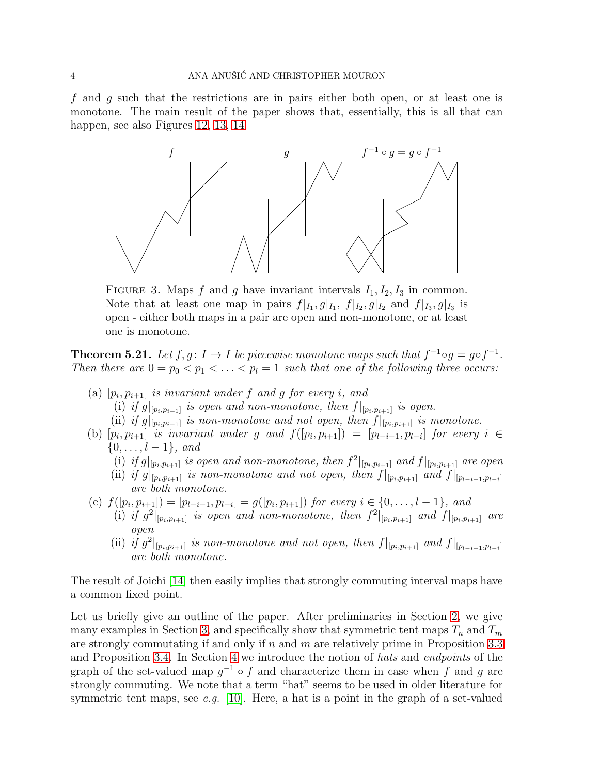f and g such that the restrictions are in pairs either both open, or at least one is monotone. The main result of the paper shows that, essentially, this is all that can happen, see also Figures [12,](#page-24-0) [13,](#page-25-0) [14.](#page-25-1)



<span id="page-3-0"></span>FIGURE 3. Maps f and g have invariant intervals  $I_1, I_2, I_3$  in common. Note that at least one map in pairs  $f|_{I_1}, g|_{I_1}, f|_{I_2}, g|_{I_2}$  and  $f|_{I_3}, g|_{I_3}$  is open - either both maps in a pair are open and non-monotone, or at least one is monotone.

**Theorem 5.21.** Let  $f, g: I \to I$  be piecewise monotone maps such that  $f^{-1} \circ g = g \circ f^{-1}$ . *Then there are*  $0 = p_0 < p_1 < \ldots < p_l = 1$  *such that one of the following three occurs:* 

- $(a)$   $[p_i, p_{i+1}]$  *is invariant under*  $f$  *and*  $g$   $for$  *every*  $i$ *, and* 
	- (i) if  $g|_{[p_i,p_{i+1}]}$  is open and non-monotone, then  $f|_{[p_i,p_{i+1}]}$  is open.
	- (ii) if  $g|_{[p_i,p_{i+1}]}$  is non-monotone and not open, then  $f|_{[p_i,p_{i+1}]}$  is monotone.
- (b)  $[p_i, p_{i+1}]$  *is invariant under* g and  $f([p_i, p_{i+1}]) = [p_{l-i-1}, p_{l-i}]$  for every  $i \in$  $\{0, \ldots, l-1\}, and$ 
	- (i) if  $g|_{[p_i,p_{i+1}]}$  is open and non-monotone, then  $f^2|_{[p_i,p_{i+1}]}$  and  $f|_{[p_i,p_{i+1}]}$  are open
	- (ii) if  $g|_{[p_i,p_{i+1}]}$  is non-monotone and not open, then  $f|_{[p_i,p_{i+1}]}$  and  $f|_{[p_{l-i-1},p_{l-i}]}$ *are both monotone.*
- (c)  $f([p_i, p_{i+1}]) = [p_{l-i-1}, p_{l-i}] = g([p_i, p_{i+1}])$  for every  $i \in \{0, ..., l-1\}$ , and
	- (i) if  $g^2|_{[p_i,p_{i+1}]}$  is open and non-monotone, then  $f^2|_{[p_i,p_{i+1}]}$  and  $f|_{[p_i,p_{i+1}]}$  are *open*
	- (ii) if  $g^2|_{[p_i,p_{i+1}]}$  is non-monotone and not open, then  $f|_{[p_i,p_{i+1}]}$  and  $f|_{[p_{l-i-1},p_{l-i}]}$ *are both monotone.*

The result of Joichi [\[14\]](#page-26-10) then easily implies that strongly commuting interval maps have a common fixed point.

Let us briefly give an outline of the paper. After preliminaries in Section [2,](#page-4-1) we give many examples in Section [3,](#page-5-0) and specifically show that symmetric tent maps  $T_n$  and  $T_m$ are strongly commutating if and only if  $n$  and  $m$  are relatively prime in Proposition [3.3](#page-5-1) and Proposition [3.4.](#page-6-0) In Section [4](#page-6-1) we introduce the notion of *hats* and *endpoints* of the graph of the set-valued map  $g^{-1} \circ f$  and characterize them in case when f and g are strongly commuting. We note that a term "hat" seems to be used in older literature for symmetric tent maps, see *e.g.* [\[10\]](#page-26-11). Here, a hat is a point in the graph of a set-valued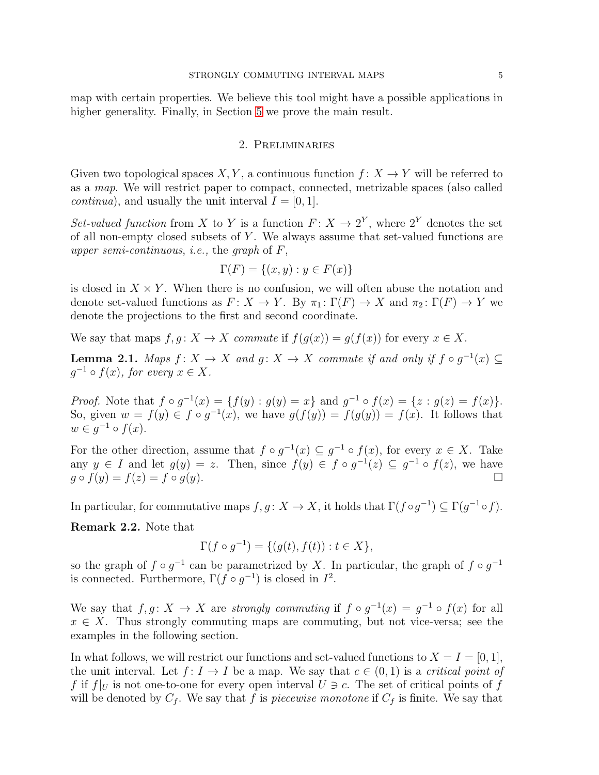<span id="page-4-1"></span>map with certain properties. We believe this tool might have a possible applications in higher generality. Finally, in Section [5](#page-12-0) we prove the main result.

## 2. Preliminaries

Given two topological spaces X, Y, a continuous function  $f: X \to Y$  will be referred to as a *map*. We will restrict paper to compact, connected, metrizable spaces (also called *continua*), and usually the unit interval  $I = [0, 1]$ .

*Set-valued function* from X to Y is a function  $F: X \to 2^Y$ , where  $2^Y$  denotes the set of all non-empty closed subsets of  $Y$ . We always assume that set-valued functions are *upper semi-continuous*, *i.e.,* the *graph* of F,

$$
\Gamma(F) = \{(x, y) : y \in F(x)\}
$$

is closed in  $X \times Y$ . When there is no confusion, we will often abuse the notation and denote set-valued functions as  $F: X \to Y$ . By  $\pi_1: \Gamma(F) \to X$  and  $\pi_2: \Gamma(F) \to Y$  we denote the projections to the first and second coordinate.

We say that maps  $f, q: X \to X$  *commute* if  $f(q(x)) = q(f(x))$  for every  $x \in X$ .

<span id="page-4-0"></span>**Lemma 2.1.** Maps  $f: X \to X$  and  $g: X \to X$  commute if and only if  $f \circ g^{-1}(x) \subseteq$  $g^{-1} \circ f(x)$ , for every  $x \in X$ .

*Proof.* Note that  $f \circ g^{-1}(x) = \{f(y) : g(y) = x\}$  and  $g^{-1} \circ f(x) = \{z : g(z) = f(x)\}.$ So, given  $w = f(y) \in f \circ g^{-1}(x)$ , we have  $g(f(y)) = f(g(y)) = f(x)$ . It follows that  $w \in g^{-1} \circ f(x)$ .

For the other direction, assume that  $f \circ g^{-1}(x) \subseteq g^{-1} \circ f(x)$ , for every  $x \in X$ . Take any  $y \in I$  and let  $g(y) = z$ . Then, since  $f(y) \in f \circ g^{-1}(z) \subseteq g^{-1} \circ f(z)$ , we have  $g \circ f(y) = f(z) = f \circ g(y).$ 

In particular, for commutative maps  $f, g \colon X \to X$ , it holds that  $\Gamma(f \circ g^{-1}) \subseteq \Gamma(g^{-1} \circ f)$ .

<span id="page-4-2"></span>Remark 2.2. Note that

$$
\Gamma(f \circ g^{-1}) = \{ (g(t), f(t)) : t \in X \},
$$

so the graph of  $f \circ g^{-1}$  can be parametrized by X. In particular, the graph of  $f \circ g^{-1}$ is connected. Furthermore,  $\Gamma(f \circ g^{-1})$  is closed in  $I^2$ .

We say that  $f, g \colon X \to X$  are *strongly commuting* if  $f \circ g^{-1}(x) = g^{-1} \circ f(x)$  for all  $x \in X$ . Thus strongly commuting maps are commuting, but not vice-versa; see the examples in the following section.

In what follows, we will restrict our functions and set-valued functions to  $X = I = [0, 1]$ , the unit interval. Let  $f: I \to I$  be a map. We say that  $c \in (0,1)$  is a *critical point of* f if  $f|_U$  is not one-to-one for every open interval  $U \ni c$ . The set of critical points of f will be denoted by  $C_f$ . We say that f is *piecewise monotone* if  $C_f$  is finite. We say that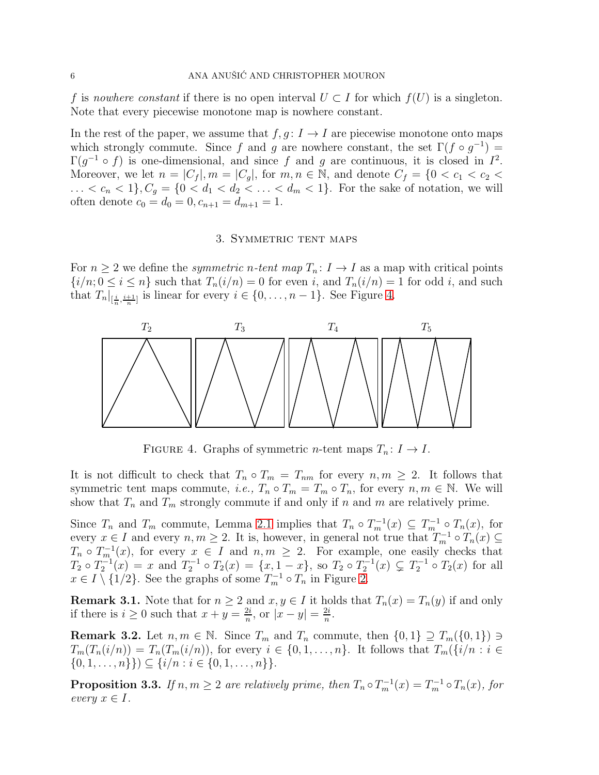f is *nowhere constant* if there is no open interval  $U \subset I$  for which  $f(U)$  is a singleton. Note that every piecewise monotone map is nowhere constant.

In the rest of the paper, we assume that  $f, g: I \to I$  are piecewise monotone onto maps which strongly commute. Since f and g are nowhere constant, the set  $\Gamma(f \circ g^{-1}) =$  $\Gamma(g^{-1} \circ f)$  is one-dimensional, and since f and g are continuous, it is closed in  $I^2$ . Moreover, we let  $n = |C_f|, m = |C_q|$ , for  $m, n \in \mathbb{N}$ , and denote  $C_f = \{0 < c_1 < c_2 < c_3\}$ ...  $\langle c_n \langle 1 \rangle, C_g = \{0 \langle d_1 \langle d_2 \rangle, \ldots \langle d_m \langle 1 \rangle\}$ . For the sake of notation, we will often denote  $c_0 = d_0 = 0, c_{n+1} = d_{m+1} = 1.$ 

## 3. Symmetric tent maps

<span id="page-5-0"></span>For  $n \geq 2$  we define the *symmetric* n-tent map  $T_n: I \to I$  as a map with critical points  ${i/n; 0 \le i \le n}$  such that  $T_n(i/n) = 0$  for even i, and  $T_n(i/n) = 1$  for odd i, and such that  $T_n|_{[\frac{i}{n},\frac{i+1}{n}]}$  is linear for every  $i \in \{0,\ldots,n-1\}$ . See Figure [4.](#page-5-2)



<span id="page-5-2"></span>FIGURE 4. Graphs of symmetric *n*-tent maps  $T_n: I \to I$ .

It is not difficult to check that  $T_n \circ T_m = T_{nm}$  for every  $n, m \geq 2$ . It follows that symmetric tent maps commute, *i.e.*,  $T_n \circ T_m = T_m \circ T_n$ , for every  $n, m \in \mathbb{N}$ . We will show that  $T_n$  and  $T_m$  strongly commute if and only if n and m are relatively prime.

Since  $T_n$  and  $T_m$  commute, Lemma [2.1](#page-4-0) implies that  $T_n \circ T_m^{-1}(x) \subseteq T_m^{-1} \circ T_n(x)$ , for every  $x \in I$  and every  $n, m \geq 2$ . It is, however, in general not true that  $T_m^{-1} \circ T_n(x) \subseteq$  $T_n \circ T_m^{-1}(x)$ , for every  $x \in I$  and  $n, m \ge 2$ . For example, one easily checks that  $T_2 \circ T_2^{-1}(x) = x$  and  $T_2^{-1} \circ T_2(x) = \{x, 1-x\}$ , so  $T_2 \circ T_2^{-1}(x) \subsetneq T_2^{-1} \circ T_2(x)$  for all  $x \in I \setminus \{1/2\}$ . See the graphs of some  $T_m^{-1} \circ T_n$  in Figure [2.](#page-2-1)

<span id="page-5-3"></span>**Remark 3.1.** Note that for  $n \geq 2$  and  $x, y \in I$  it holds that  $T_n(x) = T_n(y)$  if and only if there is  $i \geq 0$  such that  $x + y = \frac{2i}{n}$  $\frac{2i}{n}$ , or  $|x-y| = \frac{2i}{n}$  $\frac{2i}{n}$ .

<span id="page-5-4"></span>**Remark 3.2.** Let  $n, m \in \mathbb{N}$ . Since  $T_m$  and  $T_n$  commute, then  $\{0, 1\} \supseteq T_m(\{0, 1\}) \ni$  $T_m(T_n(i/n)) = T_n(T_m(i/n))$ , for every  $i \in \{0, 1, \ldots, n\}$ . It follows that  $T_m(\{i/n : i \in \{1, \ldots, n\})$  $\{0, 1, \ldots, n\}\)\subseteq \{i/n : i \in \{0, 1, \ldots, n\}\}.$ 

<span id="page-5-1"></span>**Proposition 3.3.** If  $n, m \geq 2$  are relatively prime, then  $T_n \circ T_m^{-1}(x) = T_m^{-1} \circ T_n(x)$ , for *every*  $x \in I$ .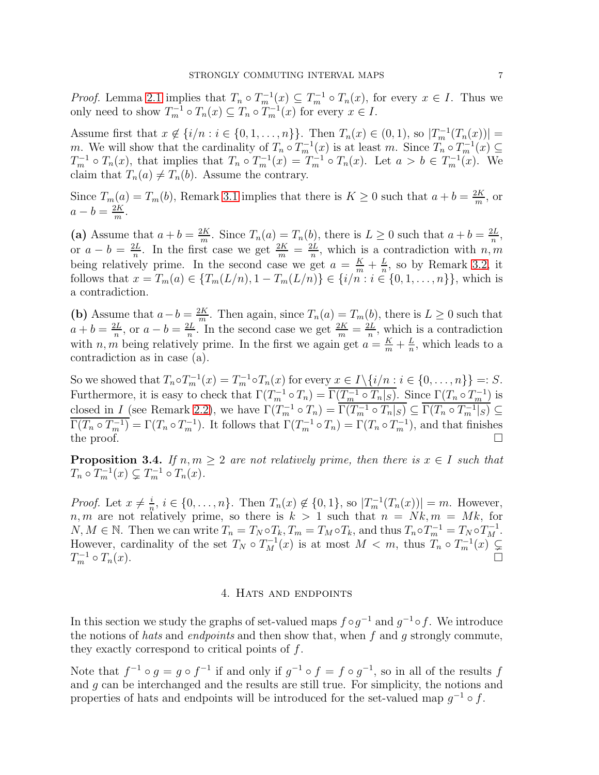*Proof.* Lemma [2.1](#page-4-0) implies that  $T_n \circ T_m^{-1}(x) \subseteq T_m^{-1} \circ T_n(x)$ , for every  $x \in I$ . Thus we only need to show  $T_m^{-1} \circ T_n(x) \subseteq T_n \circ T_m^{-1}(x)$  for every  $x \in I$ .

Assume first that  $x \notin \{i/n : i \in \{0, 1, ..., n\}\}$ . Then  $T_n(x) \in (0, 1)$ , so  $|T_m^{-1}(T_n(x))|$  = m. We will show that the cardinality of  $T_n \circ T_m^{-1}(x)$  is at least m. Since  $T_n \circ T_m^{-1}(x) \subseteq$  $T_m^{-1} \circ T_n(x)$ , that implies that  $T_n \circ T_m^{-1}(x) = T_m^{-1} \circ T_n(x)$ . Let  $a > b \in T_m^{-1}(x)$ . We claim that  $T_n(a) \neq T_n(b)$ . Assume the contrary.

Since  $T_m(a) = T_m(b)$ , Remark [3.1](#page-5-3) implies that there is  $K \geq 0$  such that  $a + b = \frac{2K}{m}$  $\frac{2K}{m}$ , or  $a-b=\frac{2K}{m}$  $\frac{2K}{m}$ .

(a) Assume that  $a + b = \frac{2K}{m}$  $\frac{2K}{m}$ . Since  $T_n(a) = T_n(b)$ , there is  $L \geq 0$  such that  $a + b = \frac{2L}{n}$  $\frac{2L}{n}$ , or  $a-b=\frac{2L}{n}$  $\frac{2L}{n}$ . In the first case we get  $\frac{2K}{m} = \frac{2L}{n}$  $\frac{dL}{n}$ , which is a contradiction with  $n, m$ being relatively prime. In the second case we get  $a = \frac{K}{m} + \frac{L}{n}$  $\frac{L}{n}$ , so by Remark [3.2,](#page-5-4) it follows that  $x = T_m(a) \in \{T_m(L/n), 1 - T_m(L/n)\} \in \{i/m : i \in \{0, 1, ..., n\}\}\)$ , which is a contradiction.

(b) Assume that  $a - b = \frac{2K}{m}$  $\frac{dK}{m}$ . Then again, since  $T_n(a) = T_m(b)$ , there is  $L \geq 0$  such that  $a+b=\frac{2L}{n}$  $\frac{2L}{n}$ , or  $a-b=\frac{2L}{n}$  $\frac{nL}{n}$ . In the second case we get  $\frac{2K}{m} = \frac{2L}{n}$  $\frac{dL}{n}$ , which is a contradiction with *n*, *m* being relatively prime. In the first we again get  $a = \frac{K}{m} + \frac{L}{n}$  $\frac{L}{n}$ , which leads to a contradiction as in case (a).

So we showed that  $T_n \circ T_m^{-1}(x) = T_m^{-1} \circ T_n(x)$  for every  $x \in I \setminus \{i/n : i \in \{0, ..., n\}\} =: S$ . Furthermore, it is easy to check that  $\Gamma(T_m^{-1} \circ T_n) = \overline{\Gamma(T_m^{-1} \circ T_n|_S)}$ . Since  $\Gamma(T_n \circ T_m^{-1})$  is closed in I (see Remark [2.2\)](#page-4-2), we have  $\Gamma(T_{m}^{-1} \circ T_{n}) = \overline{\Gamma(T_{m}^{-1} \circ T_{n}|_{S})} \subseteq \overline{\Gamma(T_{n} \circ T_{m}^{-1}|_{S})} \subseteq$  $\overline{\Gamma(T_n \circ T_{m}^{-1})} = \Gamma(T_n \circ T_{m}^{-1})$ . It follows that  $\Gamma(T_{m}^{-1} \circ T_n) = \Gamma(T_n \circ T_{m}^{-1})$ , and that finishes the proof.  $\Box$ 

<span id="page-6-0"></span>**Proposition 3.4.** *If*  $n, m \geq 2$  *are not relatively prime, then there is*  $x \in I$  *such that*  $T_n \circ T_m^{-1}(x) \subsetneq T_m^{-1} \circ T_n(x)$ .

*Proof.* Let  $x \neq \frac{i}{n}$  $\frac{i}{n}, i \in \{0, \ldots, n\}$ . Then  $T_n(x) \notin \{0, 1\}$ , so  $|T_m^{-1}(T_n(x))| = m$ . However, n, m are not relatively prime, so there is  $k > 1$  such that  $n = Nk$ ,  $m = Mk$ , for  $N, M \in \mathbb{N}$ . Then we can write  $T_n = T_N \circ T_k$ ,  $T_m = T_M \circ T_k$ , and thus  $T_n \circ T_m^{-1} = T_N \circ T_M^{-1}$ . However, cardinality of the set  $T_N \circ T_M^{-1}(x)$  is at most  $M < m$ , thus  $T_n \circ T_m^{-1}(x) \subsetneq$  $T_m^{-1}$  $\frac{n-1}{m} \circ T_n(x).$ 

#### 4. Hats and endpoints

<span id="page-6-1"></span>In this section we study the graphs of set-valued maps  $f \circ g^{-1}$  and  $g^{-1} \circ f$ . We introduce the notions of *hats* and *endpoints* and then show that, when f and g strongly commute, they exactly correspond to critical points of  $f$ .

Note that  $f^{-1} \circ g = g \circ f^{-1}$  if and only if  $g^{-1} \circ f = f \circ g^{-1}$ , so in all of the results f and g can be interchanged and the results are still true. For simplicity, the notions and properties of hats and endpoints will be introduced for the set-valued map  $g^{-1} \circ f$ .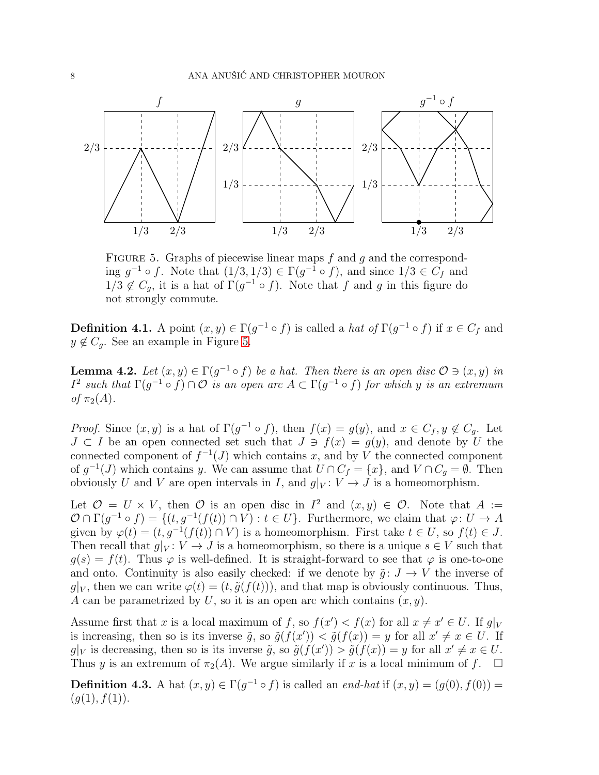

<span id="page-7-0"></span>FIGURE 5. Graphs of piecewise linear maps  $f$  and  $g$  and the corresponding  $g^{-1} \circ f$ . Note that  $(1/3, 1/3) \in \Gamma(g^{-1} \circ f)$ , and since  $1/3 \in C_f$  and  $1/3 \notin C_g$ , it is a hat of  $\Gamma(g^{-1} \circ f)$ . Note that f and g in this figure do not strongly commute.

**Definition 4.1.** A point  $(x, y) \in \Gamma(g^{-1} \circ f)$  is called a *hat of*  $\Gamma(g^{-1} \circ f)$  if  $x \in C_f$  and  $y \notin C_q$ . See an example in Figure [5.](#page-7-0)

<span id="page-7-1"></span>**Lemma 4.2.** Let  $(x, y) \in \Gamma(g^{-1} \circ f)$  be a hat. Then there is an open disc  $\mathcal{O} \ni (x, y)$  in  $I^2$  such that  $\Gamma(g^{-1} \circ f) \cap \mathcal{O}$  *is an open arc*  $A \subset \Gamma(g^{-1} \circ f)$  *for which y is an extremum of*  $\pi_2(A)$ *.* 

*Proof.* Since  $(x, y)$  is a hat of  $\Gamma(g^{-1} \circ f)$ , then  $f(x) = g(y)$ , and  $x \in C_f, y \notin C_g$ . Let  $J \subset I$  be an open connected set such that  $J \ni f(x) = g(y)$ , and denote by U the connected component of  $f^{-1}(J)$  which contains x, and by V the connected component of  $g^{-1}(J)$  which contains y. We can assume that  $U \cap C_f = \{x\}$ , and  $V \cap C_g = \emptyset$ . Then obviously U and V are open intervals in I, and  $g|_V : V \to J$  is a homeomorphism.

Let  $\mathcal{O} = U \times V$ , then  $\mathcal{O}$  is an open disc in  $I^2$  and  $(x, y) \in \mathcal{O}$ . Note that  $A :=$  $\mathcal{O} \cap \Gamma(g^{-1} \circ f) = \{ (t, g^{-1}(f(t)) \cap V) : t \in U \}.$  Furthermore, we claim that  $\varphi: U \to A$ given by  $\varphi(t) = (t, g^{-1}(f(t))) \cap V$  is a homeomorphism. First take  $t \in U$ , so  $f(t) \in J$ . Then recall that  $g|_V : V \to J$  is a homeomorphism, so there is a unique  $s \in V$  such that  $q(s) = f(t)$ . Thus  $\varphi$  is well-defined. It is straight-forward to see that  $\varphi$  is one-to-one and onto. Continuity is also easily checked: if we denote by  $\tilde{g} : J \to V$  the inverse of  $q|_V$ , then we can write  $\varphi(t) = (t, \tilde{q}(f(t)))$ , and that map is obviously continuous. Thus, A can be parametrized by U, so it is an open arc which contains  $(x, y)$ .

Assume first that x is a local maximum of f, so  $f(x') < f(x)$  for all  $x \neq x' \in U$ . If  $g|_V$ is increasing, then so is its inverse  $\tilde{g}$ , so  $\tilde{g}(f(x')) < \tilde{g}(f(x)) = y$  for all  $x' \neq x \in U$ . If  $g|_V$  is decreasing, then so is its inverse  $\tilde{g}$ , so  $\tilde{g}(f(x')) > \tilde{g}(f(x)) = y$  for all  $x' \neq x \in U$ . Thus y is an extremum of  $\pi_2(A)$ . We argue similarly if x is a local minimum of f.  $\square$ 

**Definition 4.3.** A hat  $(x, y) \in \Gamma(g^{-1} \circ f)$  is called an *end-hat* if  $(x, y) = (g(0), f(0)) =$  $(g(1), f(1)).$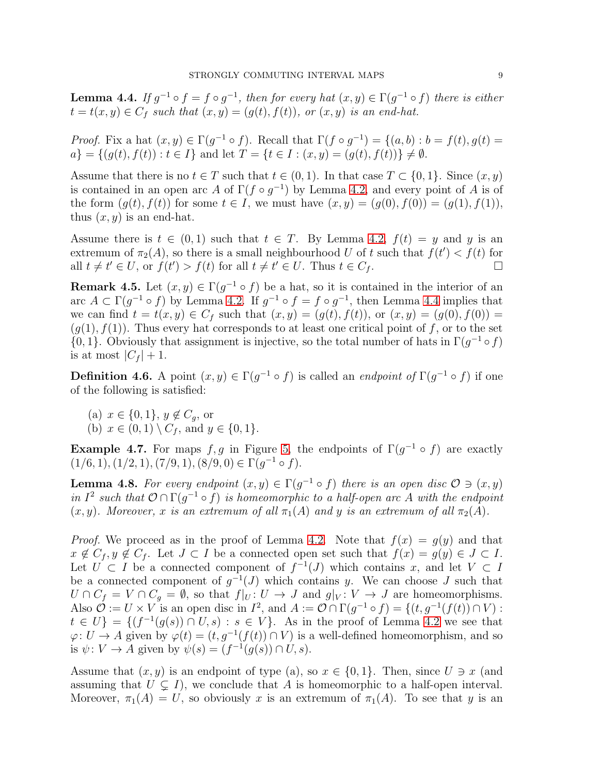<span id="page-8-0"></span>**Lemma 4.4.** If  $g^{-1} \circ f = f \circ g^{-1}$ , then for every hat  $(x, y) \in \Gamma(g^{-1} \circ f)$  there is either  $t = t(x, y) \in C_f$  such that  $(x, y) = (g(t), f(t))$ , or  $(x, y)$  is an end-hat.

*Proof.* Fix a hat  $(x, y) \in \Gamma(g^{-1} \circ f)$ . Recall that  $\Gamma(f \circ g^{-1}) = \{(a, b) : b = f(t), g(t) = f(t)\}$  $a$ } = { $(g(t), f(t)) : t \in I$ } and let  $T = \{t \in I : (x, y) = (g(t), f(t))\} \neq \emptyset$ .

Assume that there is no  $t \in T$  such that  $t \in (0, 1)$ . In that case  $T \subset \{0, 1\}$ . Since  $(x, y)$ is contained in an open arc A of  $\Gamma(f \circ g^{-1})$  by Lemma [4.2,](#page-7-1) and every point of A is of the form  $(g(t), f(t))$  for some  $t \in I$ , we must have  $(x, y) = (g(0), f(0)) = (g(1), f(1)),$ thus  $(x, y)$  is an end-hat.

Assume there is  $t \in (0,1)$  such that  $t \in T$ . By Lemma [4.2,](#page-7-1)  $f(t) = y$  and y is an extremum of  $\pi_2(A)$ , so there is a small neighbourhood U of t such that  $f(t') < f(t)$  for all  $t \neq t' \in U$ , or  $f(t') > f(t)$  for all  $t \neq t' \in U$ . Thus  $t \in C_f$ .

<span id="page-8-2"></span>**Remark 4.5.** Let  $(x, y) \in \Gamma(g^{-1} \circ f)$  be a hat, so it is contained in the interior of an arc  $A \subset \Gamma(g^{-1} \circ f)$  by Lemma [4.2.](#page-7-1) If  $g^{-1} \circ f = f \circ g^{-1}$ , then Lemma [4.4](#page-8-0) implies that we can find  $t = t(x, y) \in C_f$  such that  $(x, y) = (g(t), f(t))$ , or  $(x, y) = (g(0), f(0)) =$  $(g(1), f(1))$ . Thus every hat corresponds to at least one critical point of f, or to the set  ${0, 1}$ . Obviously that assignment is injective, so the total number of hats in  $\Gamma(g^{-1} \circ f)$ is at most  $|C_f| + 1$ .

**Definition 4.6.** A point  $(x, y) \in \Gamma(g^{-1} \circ f)$  is called an *endpoint of*  $\Gamma(g^{-1} \circ f)$  if one of the following is satisfied:

(a)  $x \in \{0, 1\}, y \notin C_q$ , or (b)  $x \in (0,1) \setminus C_f$ , and  $y \in \{0,1\}$ .

**Example 4.7.** For maps  $f, g$  in Figure [5,](#page-7-0) the endpoints of  $\Gamma(g^{-1} \circ f)$  are exactly  $(1/6, 1), (1/2, 1), (7/9, 1), (8/9, 0) \in \Gamma(g^{-1} \circ f).$ 

<span id="page-8-1"></span>**Lemma 4.8.** For every endpoint  $(x, y) \in \Gamma(g^{-1} \circ f)$  there is an open disc  $\mathcal{O} \ni (x, y)$ *in*  $I^2$  such that  $\mathcal{O} \cap \Gamma(g^{-1} \circ f)$  *is homeomorphic to a half-open arc* A with the endpoint  $(x, y)$ *. Moreover,* x *is an extremum of all*  $\pi_1(A)$  *and* y *is an extremum of all*  $\pi_2(A)$ *.* 

*Proof.* We proceed as in the proof of Lemma [4.2.](#page-7-1) Note that  $f(x) = g(y)$  and that  $x \notin C_f, y \notin C_f$ . Let  $J \subset I$  be a connected open set such that  $f(x) = g(y) \in J \subset I$ . Let  $U \subset I$  be a connected component of  $f^{-1}(J)$  which contains x, and let  $V \subset I$ be a connected component of  $g^{-1}(J)$  which contains y. We can choose J such that  $U \cap C_f = V \cap C_g = \emptyset$ , so that  $f|_U: U \to J$  and  $g|_V: V \to J$  are homeomorphisms. Also  $\mathcal{O} := U \times V$  is an open disc in  $I^2$ , and  $A := \mathcal{O} \cap \Gamma(g^{-1} \circ f) = \{(t, g^{-1}(f(t)) \cap V) :$  $t \in U$  = { $(f^{-1}(g(s)) \cap U, s) : s \in V$ }. As in the proof of Lemma [4.2](#page-7-1) we see that  $\varphi: U \to A$  given by  $\varphi(t) = (t, g^{-1}(f(t)) \cap V)$  is a well-defined homeomorphism, and so is  $\psi: V \to A$  given by  $\psi(s) = (f^{-1}(g(s)) \cap U, s)$ .

Assume that  $(x, y)$  is an endpoint of type (a), so  $x \in \{0, 1\}$ . Then, since  $U \ni x$  (and assuming that  $U \subsetneq I$ , we conclude that A is homeomorphic to a half-open interval. Moreover,  $\pi_1(A) = U$ , so obviously x is an extremum of  $\pi_1(A)$ . To see that y is an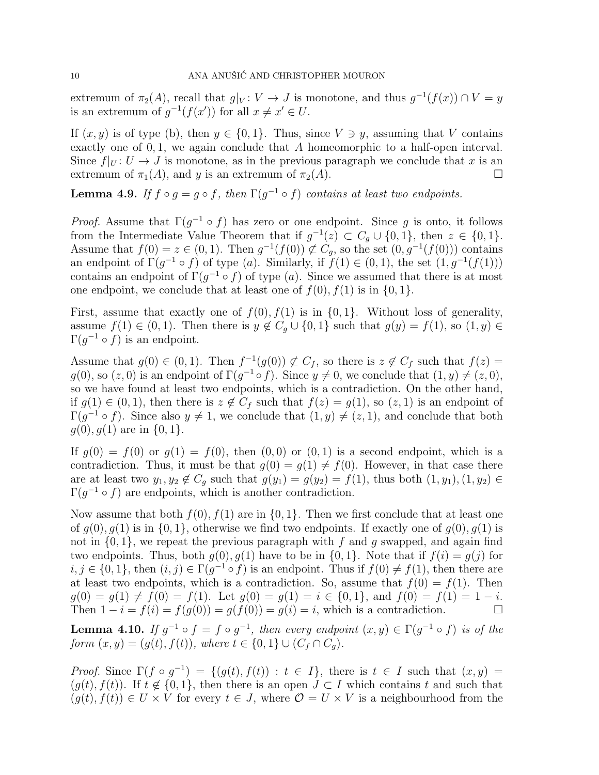extremum of  $\pi_2(A)$ , recall that  $g|_V: V \to J$  is monotone, and thus  $g^{-1}(f(x)) \cap V = y$ is an extremum of  $g^{-1}(f(x'))$  for all  $x \neq x' \in U$ .

If  $(x, y)$  is of type (b), then  $y \in \{0, 1\}$ . Thus, since  $V \ni y$ , assuming that V contains exactly one of  $0, 1$ , we again conclude that A homeomorphic to a half-open interval. Since  $f|_U: U \to J$  is monotone, as in the previous paragraph we conclude that x is an extremum of  $\pi_1(A)$ , and y is an extremum of  $\pi_2(A)$ .

# **Lemma 4.9.** *If*  $f \circ g = g \circ f$ , then  $\Gamma(g^{-1} \circ f)$  *contains at least two endpoints.*

*Proof.* Assume that  $\Gamma(g^{-1} \circ f)$  has zero or one endpoint. Since g is onto, it follows from the Intermediate Value Theorem that if  $g^{-1}(z) \subset C_g \cup \{0, 1\}$ , then  $z \in \{0, 1\}$ . Assume that  $f(0) = z \in (0,1)$ . Then  $g^{-1}(f(0)) \not\subset C_g$ , so the set  $(0, g^{-1}(f(0)))$  contains an endpoint of  $\Gamma(g^{-1} \circ f)$  of type (a). Similarly, if  $f(1) \in (0,1)$ , the set  $(1, g^{-1}(f(1)))$ contains an endpoint of  $\Gamma(g^{-1} \circ f)$  of type (a). Since we assumed that there is at most one endpoint, we conclude that at least one of  $f(0)$ ,  $f(1)$  is in  $\{0, 1\}$ .

First, assume that exactly one of  $f(0), f(1)$  is in  $\{0, 1\}$ . Without loss of generality, assume  $f(1) \in (0,1)$ . Then there is  $y \notin C_q \cup \{0,1\}$  such that  $g(y) = f(1)$ , so  $(1, y) \in$  $\Gamma(g^{-1} \circ f)$  is an endpoint.

Assume that  $g(0) \in (0,1)$ . Then  $f^{-1}(g(0)) \not\subset C_f$ , so there is  $z \notin C_f$  such that  $f(z) =$  $g(0)$ , so  $(z, 0)$  is an endpoint of  $\Gamma(g^{-1} \circ f)$ . Since  $y \neq 0$ , we conclude that  $(1, y) \neq (z, 0)$ , so we have found at least two endpoints, which is a contradiction. On the other hand, if  $g(1) \in (0,1)$ , then there is  $z \notin C_f$  such that  $f(z) = g(1)$ , so  $(z, 1)$  is an endpoint of  $\Gamma(g^{-1} \circ f)$ . Since also  $y \neq 1$ , we conclude that  $(1, y) \neq (z, 1)$ , and conclude that both  $g(0), g(1)$  are in  $\{0, 1\}.$ 

If  $q(0) = f(0)$  or  $q(1) = f(0)$ , then  $(0, 0)$  or  $(0, 1)$  is a second endpoint, which is a contradiction. Thus, it must be that  $g(0) = g(1) \neq f(0)$ . However, in that case there are at least two  $y_1, y_2 \notin C_g$  such that  $g(y_1) = g(y_2) = f(1)$ , thus both  $(1, y_1), (1, y_2) \in$  $\Gamma(g^{-1} \circ f)$  are endpoints, which is another contradiction.

Now assume that both  $f(0), f(1)$  are in  $\{0, 1\}$ . Then we first conclude that at least one of  $q(0), q(1)$  is in  $\{0, 1\}$ , otherwise we find two endpoints. If exactly one of  $q(0), q(1)$  is not in  $\{0, 1\}$ , we repeat the previous paragraph with f and q swapped, and again find two endpoints. Thus, both  $g(0), g(1)$  have to be in  $\{0, 1\}$ . Note that if  $f(i) = g(j)$  for  $i, j \in \{0, 1\}$ , then  $(i, j) \in \Gamma(g^{-1} \circ f)$  is an endpoint. Thus if  $f(0) \neq f(1)$ , then there are at least two endpoints, which is a contradiction. So, assume that  $f(0) = f(1)$ . Then  $g(0) = g(1) \neq f(0) = f(1)$ . Let  $g(0) = g(1) = i \in \{0, 1\}$ , and  $f(0) = f(1) = 1 - i$ . Then  $1 - i = f(i) = f(q(0)) = q(f(0)) = q(i) = i$ , which is a contradiction.

<span id="page-9-0"></span>**Lemma 4.10.** If  $g^{-1} \circ f = f \circ g^{-1}$ , then every endpoint  $(x, y) \in \Gamma(g^{-1} \circ f)$  is of the *form*  $(x, y) = (g(t), f(t))$ *, where*  $t \in \{0, 1\} \cup (C_f \cap C_g)$ *.* 

*Proof.* Since  $\Gamma(f \circ g^{-1}) = \{(g(t), f(t)) : t \in I\}$ , there is  $t \in I$  such that  $(x, y) =$  $(g(t), f(t))$ . If  $t \notin \{0, 1\}$ , then there is an open  $J \subset I$  which contains t and such that  $(g(t), f(t)) \in U \times V$  for every  $t \in J$ , where  $\mathcal{O} = U \times V$  is a neighbourhood from the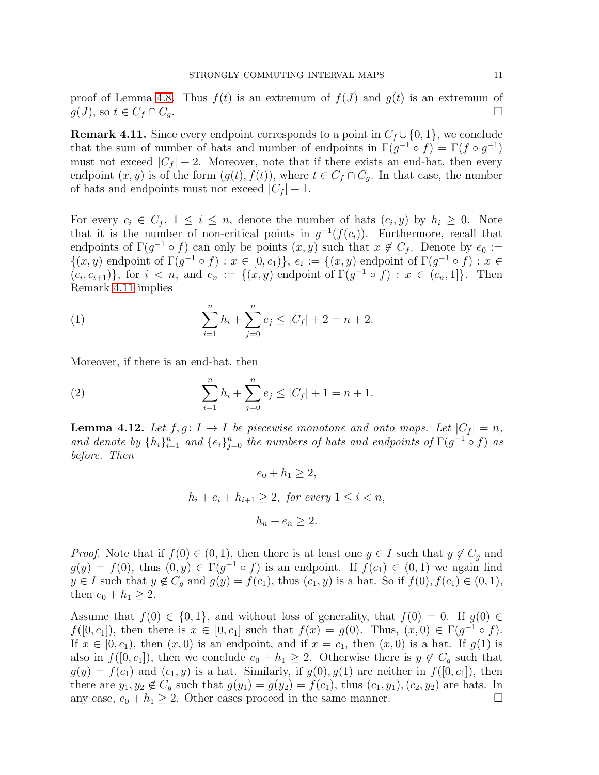proof of Lemma [4.8.](#page-8-1) Thus  $f(t)$  is an extremum of  $f(J)$  and  $g(t)$  is an extremum of  $g(J)$ , so  $t \in C_f \cap C_g$ .

<span id="page-10-0"></span>**Remark 4.11.** Since every endpoint corresponds to a point in  $C_f \cup \{0, 1\}$ , we conclude that the sum of number of hats and number of endpoints in  $\Gamma(g^{-1} \circ f) = \Gamma(f \circ g^{-1})$ must not exceed  $|C_f| + 2$ . Moreover, note that if there exists an end-hat, then every endpoint  $(x, y)$  is of the form  $(g(t), f(t))$ , where  $t \in C_f \cap C_g$ . In that case, the number of hats and endpoints must not exceed  $|C_f| + 1$ .

For every  $c_i \in C_f$ ,  $1 \leq i \leq n$ , denote the number of hats  $(c_i, y)$  by  $h_i \geq 0$ . Note that it is the number of non-critical points in  $g^{-1}(f(c_i))$ . Furthermore, recall that endpoints of  $\Gamma(g^{-1} \circ f)$  can only be points  $(x, y)$  such that  $x \notin C_f$ . Denote by  $e_0 :=$  $\{(x,y) \text{ endpoint of } \Gamma(g^{-1} \circ f) : x \in [0,c_1)\}, e_i := \{(x,y) \text{ endpoint of } \Gamma(g^{-1} \circ f) : x \in$  $(c_i, c_{i+1})\}$ , for  $i < n$ , and  $e_n := \{(x, y) \text{ endpoint of } \Gamma(g^{-1} \circ f) : x \in (c_n, 1]\}$ . Then Remark [4.11](#page-10-0) implies

<span id="page-10-1"></span>(1) 
$$
\sum_{i=1}^{n} h_i + \sum_{j=0}^{n} e_j \le |C_f| + 2 = n + 2.
$$

Moreover, if there is an end-hat, then

(2) 
$$
\sum_{i=1}^{n} h_i + \sum_{j=0}^{n} e_j \le |C_f| + 1 = n + 1.
$$

**Lemma 4.12.** Let  $f, g: I \to I$  be piecewise monotone and onto maps. Let  $|C_f| = n$ , and denote by  $\{h_i\}_{i=1}^n$  and  $\{e_i\}_{j=0}^n$  the numbers of hats and endpoints of  $\Gamma(g^{-1} \circ f)$  as *before. Then*

<span id="page-10-2"></span>
$$
e_0 + h_1 \ge 2,
$$
  

$$
h_i + e_i + h_{i+1} \ge 2, \text{ for every } 1 \le i < n,
$$
  

$$
h_n + e_n \ge 2.
$$

*Proof.* Note that if  $f(0) \in (0, 1)$ , then there is at least one  $y \in I$  such that  $y \notin C_g$  and  $g(y) = f(0)$ , thus  $(0, y) \in \Gamma(g^{-1} \circ f)$  is an endpoint. If  $f(c_1) \in (0, 1)$  we again find  $y \in I$  such that  $y \notin C_g$  and  $g(y) = f(c_1)$ , thus  $(c_1, y)$  is a hat. So if  $f(0), f(c_1) \in (0, 1)$ , then  $e_0 + h_1 \geq 2$ .

Assume that  $f(0) \in \{0, 1\}$ , and without loss of generality, that  $f(0) = 0$ . If  $g(0) \in$  $f([0, c_1])$ , then there is  $x \in [0, c_1]$  such that  $f(x) = g(0)$ . Thus,  $(x, 0) \in \Gamma(g^{-1} \circ f)$ . If  $x \in [0, c_1)$ , then  $(x, 0)$  is an endpoint, and if  $x = c_1$ , then  $(x, 0)$  is a hat. If  $g(1)$  is also in  $f([0, c_1])$ , then we conclude  $e_0 + h_1 \geq 2$ . Otherwise there is  $y \notin C_g$  such that  $g(y) = f(c_1)$  and  $(c_1, y)$  is a hat. Similarly, if  $g(0), g(1)$  are neither in  $f([0, c_1])$ , then there are  $y_1, y_2 \notin C_g$  such that  $g(y_1) = g(y_2) = f(c_1)$ , thus  $(c_1, y_1), (c_2, y_2)$  are hats. In any case,  $e_0 + h_1 \geq 2$ . Other cases proceed in the same manner.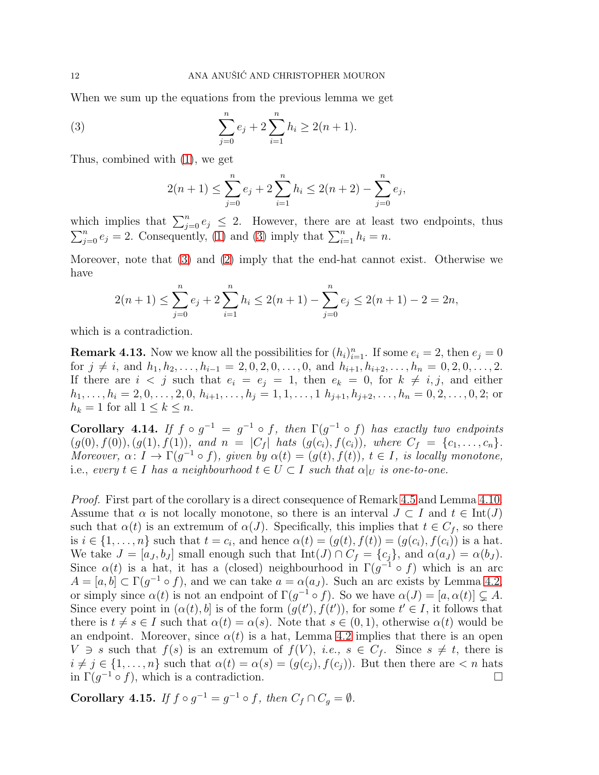When we sum up the equations from the previous lemma we get

(3) 
$$
\sum_{j=0}^{n} e_j + 2 \sum_{i=1}^{n} h_i \ge 2(n+1).
$$

Thus, combined with [\(1\)](#page-10-1), we get

<span id="page-11-1"></span>
$$
2(n+1) \le \sum_{j=0}^{n} e_j + 2\sum_{i=1}^{n} h_i \le 2(n+2) - \sum_{j=0}^{n} e_j,
$$

which implies that  $\sum_{j=0}^{n} e_j \leq 2$ . However, there are at least two endpoints, thus  $\sum_{j=0}^{n} e_j = 2$ . Consequently, [\(1\)](#page-10-1) and [\(3\)](#page-11-1) imply that  $\sum_{i=1}^{n} h_i = n$ .

Moreover, note that [\(3\)](#page-11-1) and [\(2\)](#page-10-2) imply that the end-hat cannot exist. Otherwise we have

$$
2(n+1) \le \sum_{j=0}^{n} e_j + 2\sum_{i=1}^{n} h_i \le 2(n+1) - \sum_{j=0}^{n} e_j \le 2(n+1) - 2 = 2n,
$$

which is a contradiction.

<span id="page-11-3"></span>**Remark 4.13.** Now we know all the possibilities for  $(h_i)_{i=1}^n$ . If some  $e_i = 2$ , then  $e_j = 0$ for  $j \neq i$ , and  $h_1, h_2, \ldots, h_{i-1} = 2, 0, 2, 0, \ldots, 0$ , and  $h_{i+1}, h_{i+2}, \ldots, h_n = 0, 2, 0, \ldots, 2$ . If there are  $i < j$  such that  $e_i = e_j = 1$ , then  $e_k = 0$ , for  $k \neq i, j$ , and either  $h_1, \ldots, h_i = 2, 0, \ldots, 2, 0, h_{i+1}, \ldots, h_j = 1, 1, \ldots, 1 \ h_{j+1}, h_{j+2}, \ldots, h_n = 0, 2, \ldots, 0, 2;$  or  $h_k = 1$  for all  $1 \leq k \leq n$ .

<span id="page-11-2"></span>Corollary 4.14. *If*  $f \circ g^{-1} = g^{-1} \circ f$ , then  $\Gamma(g^{-1} \circ f)$  has exactly two endpoints  $(g(0), f(0)), (g(1), f(1)),$  and  $n = |C_f|$  hats  $(g(c_i), f(c_i)),$  where  $C_f = \{c_1, \ldots, c_n\}.$ *Moreover,*  $\alpha: I \to \Gamma(g^{-1} \circ f)$ *, given by*  $\alpha(t) = (g(t), f(t))$ *,*  $t \in I$ *, is locally monotone,* i.e., *every*  $t \in I$  *has a neighbourhood*  $t \in U \subset I$  *such that*  $\alpha|_U$  *is one-to-one.* 

*Proof.* First part of the corollary is a direct consequence of Remark [4.5](#page-8-2) and Lemma [4.10.](#page-9-0) Assume that  $\alpha$  is not locally monotone, so there is an interval  $J \subset I$  and  $t \in \text{Int}(J)$ such that  $\alpha(t)$  is an extremum of  $\alpha(J)$ . Specifically, this implies that  $t \in C_f$ , so there is  $i \in \{1, \ldots, n\}$  such that  $t = c_i$ , and hence  $\alpha(t) = (g(t), f(t)) = (g(c_i), f(c_i))$  is a hat. We take  $J = [a_J, b_J]$  small enough such that  $Int(J) \cap C_f = \{c_j\}$ , and  $\alpha(a_J) = \alpha(b_J)$ . Since  $\alpha(t)$  is a hat, it has a (closed) neighbourhood in  $\Gamma(g^{-1} \circ f)$  which is an arc  $A = [a, b] \subset \Gamma(g^{-1} \circ f)$ , and we can take  $a = \alpha(a_J)$ . Such an arc exists by Lemma [4.2,](#page-7-1) or simply since  $\alpha(t)$  is not an endpoint of  $\Gamma(g^{-1} \circ f)$ . So we have  $\alpha(J) = [a, \alpha(t)] \subsetneq A$ . Since every point in  $(\alpha(t), b]$  is of the form  $(g(t'), f(t'))$ , for some  $t' \in I$ , it follows that there is  $t \neq s \in I$  such that  $\alpha(t) = \alpha(s)$ . Note that  $s \in (0,1)$ , otherwise  $\alpha(t)$  would be an endpoint. Moreover, since  $\alpha(t)$  is a hat, Lemma [4.2](#page-7-1) implies that there is an open  $V \ni s$  such that  $f(s)$  is an extremum of  $f(V)$ , *i.e.*,  $s \in C_f$ . Since  $s \neq t$ , there is  $i \neq j \in \{1, \ldots, n\}$  such that  $\alpha(t) = \alpha(s) = (g(c_i), f(c_i))$ . But then there are  $\lt n$  hats in  $\Gamma(g^{-1} \circ f)$ , which is a contradiction.

<span id="page-11-0"></span>**Corollary 4.15.** *If*  $f \circ g^{-1} = g^{-1} \circ f$ , *then*  $C_f \cap C_g = \emptyset$ *.*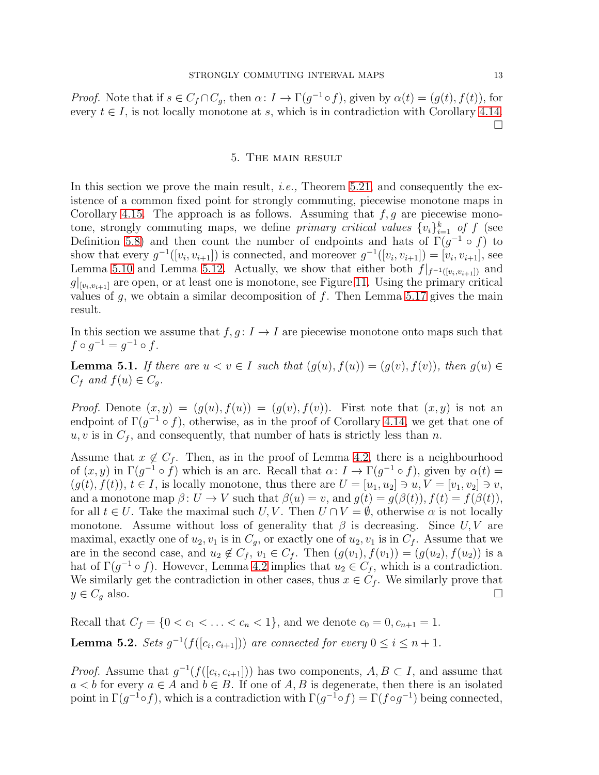<span id="page-12-0"></span>*Proof.* Note that if  $s \in C_f \cap C_g$ , then  $\alpha: I \to \Gamma(g^{-1} \circ f)$ , given by  $\alpha(t) = (g(t), f(t))$ , for every  $t \in I$ , is not locally monotone at s, which is in contradiction with Corollary [4.14.](#page-11-2)  $\Box$ 

#### 5. The main result

In this section we prove the main result, *i.e.,* Theorem [5.21,](#page-23-0) and consequently the existence of a common fixed point for strongly commuting, piecewise monotone maps in Corollary [4.15.](#page-11-0) The approach is as follows. Assuming that  $f, g$  are piecewise monotone, strongly commuting maps, we define *primary critical values*  $\{v_i\}_{i=1}^k$  of f (see Definition [5.8\)](#page-17-0) and then count the number of endpoints and hats of  $\Gamma(g^{-1} \circ f)$  to show that every  $g^{-1}([v_i, v_{i+1}])$  is connected, and moreover  $g^{-1}([v_i, v_{i+1}]) = [v_i, v_{i+1}],$  see Lemma [5.10](#page-19-0) and Lemma [5.12.](#page-19-1) Actually, we show that either both  $f|_{f^{-1}([v_i,v_{i+1}])}$  and  $g|_{[v_i,v_{i+1}]}$  are open, or at least one is monotone, see Figure [11.](#page-18-0) Using the primary critical values of  $g$ , we obtain a similar decomposition of  $f$ . Then Lemma [5.17](#page-21-0) gives the main result.

In this section we assume that  $f, g: I \to I$  are piecewise monotone onto maps such that  $f \circ g^{-1} = g^{-1} \circ f$ .

<span id="page-12-2"></span>**Lemma 5.1.** *If there are*  $u < v \in I$  *such that*  $(g(u), f(u)) = (g(v), f(v))$ *, then*  $g(u) \in I$  $C_f$  *and*  $f(u) \in C_q$ .

*Proof.* Denote  $(x, y) = (g(u), f(u)) = (g(v), f(v))$ . First note that  $(x, y)$  is not an endpoint of  $\Gamma(g^{-1} \circ f)$ , otherwise, as in the proof of Corollary [4.14,](#page-11-2) we get that one of  $u, v$  is in  $C_f$ , and consequently, that number of hats is strictly less than n.

Assume that  $x \notin C_f$ . Then, as in the proof of Lemma [4.2,](#page-7-1) there is a neighbourhood of  $(x, y)$  in  $\Gamma(g^{-1} \circ f)$  which is an arc. Recall that  $\alpha: I \to \Gamma(g^{-1} \circ f)$ , given by  $\alpha(t) =$  $(q(t), f(t)), t \in I$ , is locally monotone, thus there are  $U = [u_1, u_2] \ni u, V = [v_1, v_2] \ni v$ , and a monotone map  $\beta: U \to V$  such that  $\beta(u) = v$ , and  $g(t) = g(\beta(t)), f(t) = f(\beta(t)),$ for all  $t \in U$ . Take the maximal such U, V. Then  $U \cap V = \emptyset$ , otherwise  $\alpha$  is not locally monotone. Assume without loss of generality that  $\beta$  is decreasing. Since  $U, V$  are maximal, exactly one of  $u_2, v_1$  is in  $C_q$ , or exactly one of  $u_2, v_1$  is in  $C_f$ . Assume that we are in the second case, and  $u_2 \notin C_f$ ,  $v_1 \in C_f$ . Then  $(g(v_1), f(v_1)) = (g(u_2), f(u_2))$  is a hat of  $\Gamma(g^{-1} \circ f)$ . However, Lemma [4.2](#page-7-1) implies that  $u_2 \in C_f$ , which is a contradiction. We similarly get the contradiction in other cases, thus  $x \in C_f$ . We similarly prove that  $y \in C_g$  also.

<span id="page-12-1"></span>Recall that  $C_f = \{0 < c_1 < \ldots < c_n < 1\}$ , and we denote  $c_0 = 0, c_{n+1} = 1$ . **Lemma 5.2.** *Sets*  $g^{-1}(f([c_i, c_{i+1}]))$  *are connected for every*  $0 \le i \le n+1$ *.* 

*Proof.* Assume that  $g^{-1}(f([c_i, c_{i+1}]))$  has two components,  $A, B \subset I$ , and assume that  $a < b$  for every  $a \in A$  and  $b \in B$ . If one of A, B is degenerate, then there is an isolated point in  $\Gamma(g^{-1} \circ f)$ , which is a contradiction with  $\Gamma(g^{-1} \circ f) = \Gamma(f \circ g^{-1})$  being connected,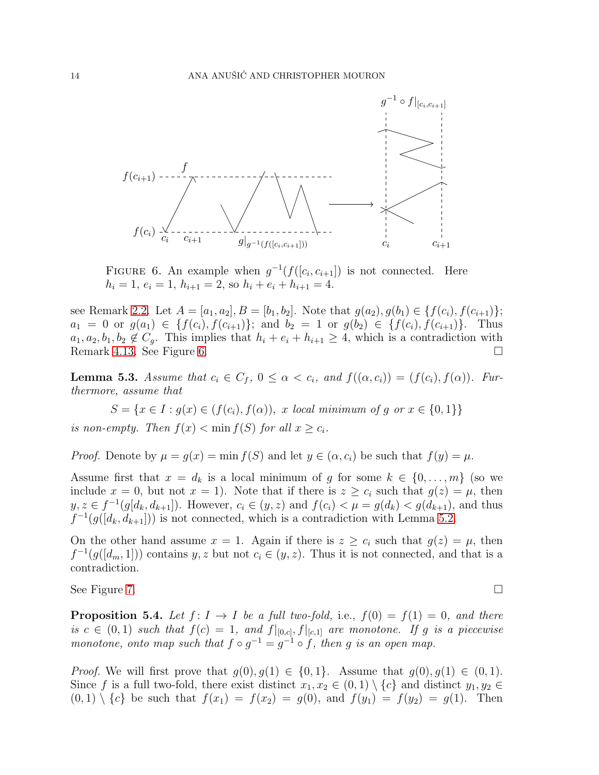

<span id="page-13-0"></span>FIGURE 6. An example when  $g^{-1}(f([c_i, c_{i+1}])$  is not connected. Here  $h_i = 1, e_i = 1, h_{i+1} = 2$ , so  $h_i + e_i + h_{i+1} = 4$ .

see Remark [2.2.](#page-4-2) Let  $A = [a_1, a_2], B = [b_1, b_2]$ . Note that  $g(a_2), g(b_1) \in \{f(c_i), f(c_{i+1})\}$ ;  $a_1 = 0$  or  $g(a_1) \in \{f(c_i), f(c_{i+1})\};$  and  $b_2 = 1$  or  $g(b_2) \in \{f(c_i), f(c_{i+1})\}.$  Thus  $a_1, a_2, b_1, b_2 \notin C_g$ . This implies that  $h_i + e_i + h_{i+1} \geq 4$ , which is a contradiction with Remark [4.13.](#page-11-3) See Figure [6.](#page-13-0)

<span id="page-13-1"></span>**Lemma 5.3.** *Assume that*  $c_i \in C_f$ ,  $0 \leq \alpha < c_i$ , and  $f((\alpha, c_i)) = (f(c_i), f(\alpha))$ . Fur*thermore, assume that*

 $S = \{x \in I : g(x) \in (f(c_i), f(\alpha)), \ x \ local \ minimum \ of \ g \ or \ x \in \{0,1\} \}$ *is non-empty. Then*  $f(x) < \min f(S)$  *for all*  $x \ge c_i$ *.* 

*Proof.* Denote by  $\mu = g(x) = \min f(S)$  and let  $y \in (\alpha, c_i)$  be such that  $f(y) = \mu$ .

Assume first that  $x = d_k$  is a local minimum of g for some  $k \in \{0, ..., m\}$  (so we include  $x = 0$ , but not  $x = 1$ ). Note that if there is  $z \ge c_i$  such that  $g(z) = \mu$ , then  $y, z \in f^{-1}(g[d_k, d_{k+1}])$ . However,  $c_i \in (y, z)$  and  $f(c_i) < \mu = g(d_k) < g(d_{k+1})$ , and thus  $f^{-1}(g([d_k, d_{k+1}]))$  is not connected, which is a contradiction with Lemma [5.2.](#page-12-1)

On the other hand assume  $x = 1$ . Again if there is  $z \geq c_i$  such that  $g(z) = \mu$ , then  $f^{-1}(g([d_m,1]))$  contains y, z but not  $c_i \in (y, z)$ . Thus it is not connected, and that is a contradiction.

See Figure [7.](#page-14-0)  $\Box$ 

<span id="page-13-2"></span>**Proposition 5.4.** Let  $f: I \rightarrow I$  be a full two-fold, i.e.,  $f(0) = f(1) = 0$ , and there *is*  $c \in (0,1)$  *such that*  $f(c) = 1$ *, and*  $f|_{[0,c]}, f|_{[c,1]}$  *are monotone. If* g *is a piecewise monotone, onto map such that*  $f \circ g^{-1} = g^{-1} \circ f$ , then g is an open map.

*Proof.* We will first prove that  $g(0), g(1) \in \{0, 1\}$ . Assume that  $g(0), g(1) \in (0, 1)$ . Since f is a full two-fold, there exist distinct  $x_1, x_2 \in (0,1) \setminus \{c\}$  and distinct  $y_1, y_2 \in$  $(0, 1) \setminus \{c\}$  be such that  $f(x_1) = f(x_2) = g(0)$ , and  $f(y_1) = f(y_2) = g(1)$ . Then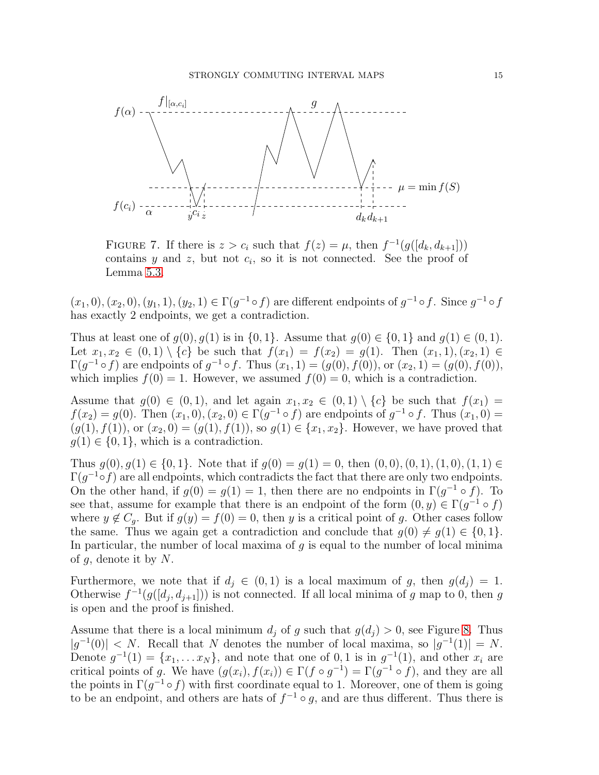

<span id="page-14-0"></span>FIGURE 7. If there is  $z > c_i$  such that  $f(z) = \mu$ , then  $f^{-1}(g([d_k, d_{k+1}]))$ contains  $y$  and  $z$ , but not  $c_i$ , so it is not connected. See the proof of Lemma [5.3.](#page-13-1)

 $(x_1,0),(x_2,0),(y_1,1),(y_2,1) \in \Gamma(g^{-1} \circ f)$  are different endpoints of  $g^{-1} \circ f$ . Since  $g^{-1} \circ f$ has exactly 2 endpoints, we get a contradiction.

Thus at least one of  $g(0), g(1)$  is in  $\{0, 1\}$ . Assume that  $g(0) \in \{0, 1\}$  and  $g(1) \in (0, 1)$ . Let  $x_1, x_2 \in (0,1) \setminus \{c\}$  be such that  $f(x_1) = f(x_2) = g(1)$ . Then  $(x_1, 1), (x_2, 1) \in$  $\Gamma(g^{-1} \circ f)$  are endpoints of  $g^{-1} \circ f$ . Thus  $(x_1, 1) = (g(0), f(0))$ , or  $(x_2, 1) = (g(0), f(0))$ , which implies  $f(0) = 1$ . However, we assumed  $f(0) = 0$ , which is a contradiction.

Assume that  $g(0) \in (0,1)$ , and let again  $x_1, x_2 \in (0,1) \setminus \{c\}$  be such that  $f(x_1) =$  $f(x_2) = g(0)$ . Then  $(x_1, 0), (x_2, 0) \in \Gamma(g^{-1} \circ f)$  are endpoints of  $g^{-1} \circ f$ . Thus  $(x_1, 0) =$  $(g(1), f(1))$ , or  $(x_2, 0) = (g(1), f(1))$ , so  $g(1) \in \{x_1, x_2\}$ . However, we have proved that  $g(1) \in \{0, 1\}$ , which is a contradiction.

Thus  $q(0), q(1) \in \{0, 1\}$ . Note that if  $q(0) = q(1) = 0$ , then  $(0, 0), (0, 1), (1, 0), (1, 1) \in$  $\Gamma(g^{-1} \circ f)$  are all endpoints, which contradicts the fact that there are only two endpoints. On the other hand, if  $g(0) = g(1) = 1$ , then there are no endpoints in  $\Gamma(g^{-1} \circ f)$ . To see that, assume for example that there is an endpoint of the form  $(0, y) \in \Gamma(g^{-1} \circ f)$ where  $y \notin C_g$ . But if  $g(y) = f(0) = 0$ , then y is a critical point of g. Other cases follow the same. Thus we again get a contradiction and conclude that  $g(0) \neq g(1) \in \{0, 1\}.$ In particular, the number of local maxima of  $g$  is equal to the number of local minima of  $g$ , denote it by  $N$ .

Furthermore, we note that if  $d_i \in (0,1)$  is a local maximum of g, then  $g(d_i) = 1$ . Otherwise  $f^{-1}(g([d_j, d_{j+1}]))$  is not connected. If all local minima of g map to 0, then g is open and the proof is finished.

Assume that there is a local minimum  $d_j$  of g such that  $g(d_j) > 0$ , see Figure [8.](#page-15-0) Thus  $|g^{-1}(0)| < N$ . Recall that N denotes the number of local maxima, so  $|g^{-1}(1)| = N$ . Denote  $g^{-1}(1) = \{x_1, \ldots x_N\}$ , and note that one of 0, 1 is in  $g^{-1}(1)$ , and other  $x_i$  are critical points of g. We have  $(g(x_i), f(x_i)) \in \Gamma(f \circ g^{-1}) = \Gamma(g^{-1} \circ f)$ , and they are all the points in  $\Gamma(g^{-1} \circ f)$  with first coordinate equal to 1. Moreover, one of them is going to be an endpoint, and others are hats of  $f^{-1} \circ g$ , and are thus different. Thus there is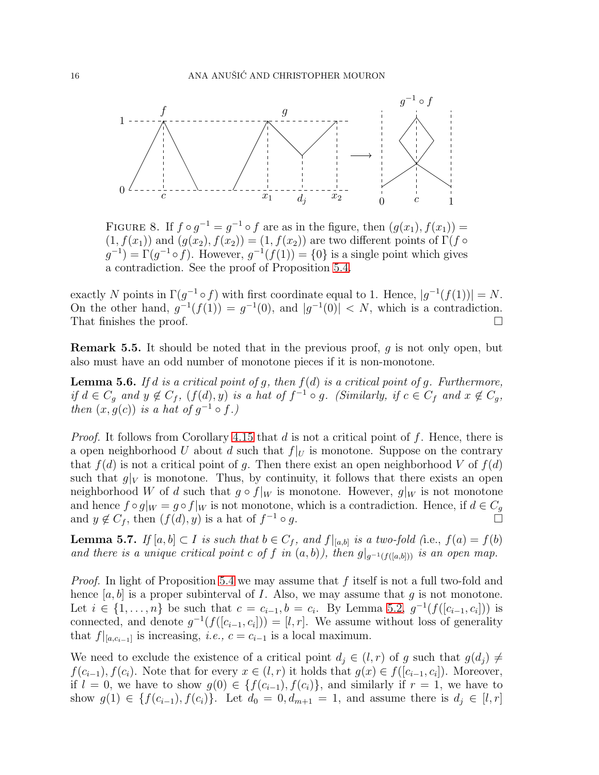

<span id="page-15-0"></span>FIGURE 8. If  $f \circ g^{-1} = g^{-1} \circ f$  are as in the figure, then  $(g(x_1), f(x_1)) =$  $(1, f(x_1))$  and  $(g(x_2), f(x_2)) = (1, f(x_2))$  are two different points of  $\Gamma(f \circ \Gamma)$  $(g^{-1}) = \Gamma(g^{-1} \circ f)$ . However,  $g^{-1}(f(1)) = \{0\}$  is a single point which gives a contradiction. See the proof of Proposition [5.4.](#page-13-2)

exactly N points in  $\Gamma(g^{-1} \circ f)$  with first coordinate equal to 1. Hence,  $|g^{-1}(f(1))| = N$ . On the other hand,  $g^{-1}(f(1)) = g^{-1}(0)$ , and  $|g^{-1}(0)| < N$ , which is a contradiction. That finishes the proof.  $\square$ 

Remark 5.5. It should be noted that in the previous proof, g is not only open, but also must have an odd number of monotone pieces if it is non-monotone.

<span id="page-15-1"></span>Lemma 5.6. *If* d *is a critical point of* g*, then* f(d) *is a critical point of* g*. Furthermore, if*  $d \in C_g$  *and*  $y \notin C_f$ ,  $(f(d), y)$  *is a hat of*  $f^{-1} \circ g$ *. (Similarly, if*  $c \in C_f$  *and*  $x \notin C_g$ *, then*  $(x, g(c))$  *is a hat of*  $g^{-1} \circ f$ .)

*Proof.* It follows from Corollary [4.15](#page-11-0) that d is not a critical point of f. Hence, there is a open neighborhood U about d such that  $f|_U$  is monotone. Suppose on the contrary that  $f(d)$  is not a critical point of g. Then there exist an open neighborhood V of  $f(d)$ such that  $g|_V$  is monotone. Thus, by continuity, it follows that there exists an open neighborhood W of d such that  $g \circ f|_W$  is monotone. However,  $g|_W$  is not monotone and hence  $f \circ g|_W = g \circ f|_W$  is not monotone, which is a contradiction. Hence, if  $d \in C_g$ and  $y \notin C_f$ , then  $(f(d), y)$  is a hat of  $f^{-1} \circ g$ .  $^{-1} \circ g$ .

<span id="page-15-2"></span>**Lemma 5.7.** *If*  $[a, b] \subset I$  *is such that*  $b \in C_f$ *, and*  $f|_{[a,b]}$  *is a two-fold* (i.e.,  $f(a) = f(b)$ *and there is a unique critical point* c of f in  $(a, b)$ , then  $g|_{q^{-1}(f([a,b]))}$  *is an open map.* 

*Proof.* In light of Proposition [5.4](#page-13-2) we may assume that f itself is not a full two-fold and hence  $[a, b]$  is a proper subinterval of I. Also, we may assume that g is not monotone. Let  $i \in \{1, ..., n\}$  be such that  $c = c_{i-1}, b = c_i$ . By Lemma [5.2,](#page-12-1)  $g^{-1}(f([c_{i-1}, c_i]))$  is connected, and denote  $g^{-1}(f([c_{i-1}, c_i])) = [l, r]$ . We assume without loss of generality that  $f|_{[a,c_{i-1}]}$  is increasing, *i.e.*,  $c = c_{i-1}$  is a local maximum.

We need to exclude the existence of a critical point  $d_j \in (l, r)$  of g such that  $g(d_j) \neq$  $f(c_{i-1}), f(c_i)$ . Note that for every  $x \in (l, r)$  it holds that  $g(x) \in f([c_{i-1}, c_i])$ . Moreover, if  $l = 0$ , we have to show  $g(0) \in \{f(c_{i-1}), f(c_i)\}\)$ , and similarly if  $r = 1$ , we have to show  $g(1) \in \{f(c_{i-1}), f(c_i)\}.$  Let  $d_0 = 0, d_{m+1} = 1$ , and assume there is  $d_i \in [l, r]$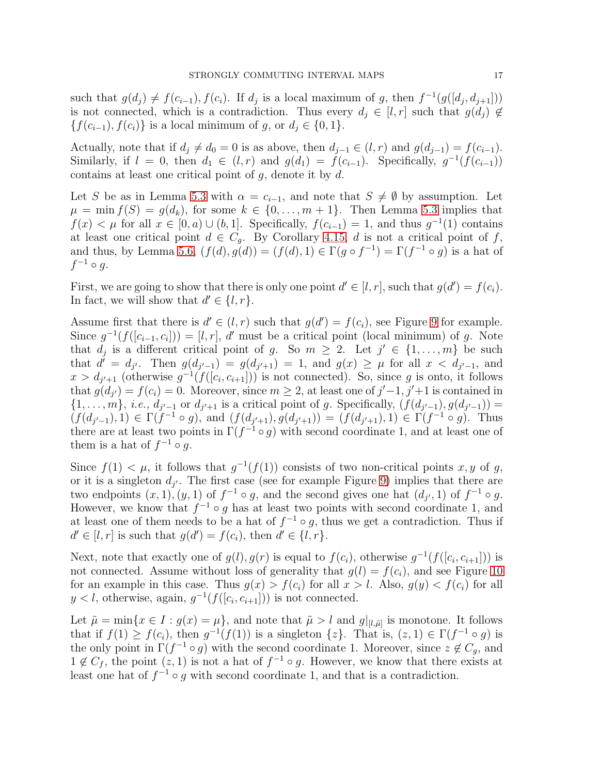such that  $g(d_j) \neq f(c_{i-1}), f(c_i)$ . If  $d_j$  is a local maximum of g, then  $f^{-1}(g([d_j, d_{j+1}]))$ is not connected, which is a contradiction. Thus every  $d_j \in [l, r]$  such that  $g(d_j) \notin$  $\{f(c_{i-1}), f(c_i)\}\$ is a local minimum of g, or  $d_j \in \{0, 1\}.$ 

Actually, note that if  $d_j \neq d_0 = 0$  is as above, then  $d_{j-1} \in (l, r)$  and  $g(d_{j-1}) = f(c_{i-1})$ . Similarly, if  $l = 0$ , then  $d_1 \in (l, r)$  and  $g(d_1) = f(c_{i-1})$ . Specifically,  $g^{-1}(f(c_{i-1}))$ contains at least one critical point of  $q$ , denote it by  $d$ .

Let S be as in Lemma [5.3](#page-13-1) with  $\alpha = c_{i-1}$ , and note that  $S \neq \emptyset$  by assumption. Let  $\mu = \min f(S) = g(d_k)$ , for some  $k \in \{0, \ldots, m+1\}$ . Then Lemma [5.3](#page-13-1) implies that  $f(x) < \mu$  for all  $x \in [0, a) \cup (b, 1]$ . Specifically,  $f(c_{i-1}) = 1$ , and thus  $g^{-1}(1)$  contains at least one critical point  $d \in C_q$ . By Corollary [4.15,](#page-11-0) d is not a critical point of f, and thus, by Lemma [5.6,](#page-15-1)  $(f(d), g(d)) = (f(d), 1) \in \Gamma(g \circ f^{-1}) = \Gamma(f^{-1} \circ g)$  is a hat of  $f^{-1} \circ g$ .

First, we are going to show that there is only one point  $d' \in [l, r]$ , such that  $g(d') = f(c_i)$ . In fact, we will show that  $d' \in \{l, r\}.$ 

Assume first that there is  $d' \in (l, r)$  such that  $g(d') = f(c_i)$ , see Figure [9](#page-17-1) for example. Since  $g^{-1}(f([c_{i-1}, c_i])) = [l, r]$ , d' must be a critical point (local minimum) of g. Note that  $d_j$  is a different critical point of g. So  $m \geq 2$ . Let  $j' \in \{1, \ldots, m\}$  be such that  $d' = d_{j'}$ . Then  $g(d_{j'-1}) = g(d_{j'+1}) = 1$ , and  $g(x) \geq \mu$  for all  $x < d_{j'-1}$ , and  $x > d_{j'+1}$  (otherwise  $g^{-1}(f([c_i, c_{i+1}]))$  is not connected). So, since g is onto, it follows that  $g(d_{j'}) = f(c_i) = 0$ . Moreover, since  $m \geq 2$ , at least one of  $j'-1$ ,  $j'+1$  is contained in  $\{1, \ldots, m\}, i.e., d_{j'-1} \text{ or } d_{j'+1} \text{ is a critical point of } g.$  Specifically,  $(f(d_{j'-1}), g(d_{j'-1})) =$  $(f(d_{j'-1}), 1) \in \Gamma(f^{-1} \circ g)$ , and  $(f(d_{j'+1}), g(d_{j'+1})) = (f(d_{j'+1}), 1) \in \Gamma(f^{-1} \circ g)$ . Thus there are at least two points in  $\Gamma(f^{-1} \circ g)$  with second coordinate 1, and at least one of them is a hat of  $f^{-1} \circ g$ .

Since  $f(1) < \mu$ , it follows that  $g^{-1}(f(1))$  consists of two non-critical points x, y of g, or it is a singleton  $d_{j'}$ . The first case (see for example Figure [9\)](#page-17-1) implies that there are two endpoints  $(x, 1), (y, 1)$  of  $f^{-1} \circ g$ , and the second gives one hat  $(d_{j'}, 1)$  of  $f^{-1} \circ g$ . However, we know that  $f^{-1} \circ g$  has at least two points with second coordinate 1, and at least one of them needs to be a hat of  $f^{-1} \circ g$ , thus we get a contradiction. Thus if  $d' \in [l, r]$  is such that  $g(d') = f(c_i)$ , then  $d' \in \{l, r\}$ .

Next, note that exactly one of  $g(l), g(r)$  is equal to  $f(c_i)$ , otherwise  $g^{-1}(f([c_i, c_{i+1}]))$  is not connected. Assume without loss of generality that  $g(l) = f(c_i)$ , and see Figure [10](#page-18-1) for an example in this case. Thus  $g(x) > f(c_i)$  for all  $x > l$ . Also,  $g(y) < f(c_i)$  for all  $y < l$ , otherwise, again,  $g^{-1}(f([c_i, c_{i+1}]))$  is not connected.

Let  $\tilde{\mu} = \min\{x \in I : g(x) = \mu\}$ , and note that  $\tilde{\mu} > l$  and  $g|_{[l,\tilde{\mu}]}$  is monotone. It follows that if  $f(1) \geq f(c_i)$ , then  $g^{-1}(f(1))$  is a singleton  $\{z\}$ . That is,  $(z, 1) \in \Gamma(f^{-1} \circ g)$  is the only point in  $\Gamma(f^{-1} \circ g)$  with the second coordinate 1. Moreover, since  $z \notin C_g$ , and  $1 \notin C_f$ , the point  $(z, 1)$  is not a hat of  $f^{-1} \circ g$ . However, we know that there exists at least one hat of  $f^{-1} \circ g$  with second coordinate 1, and that is a contradiction.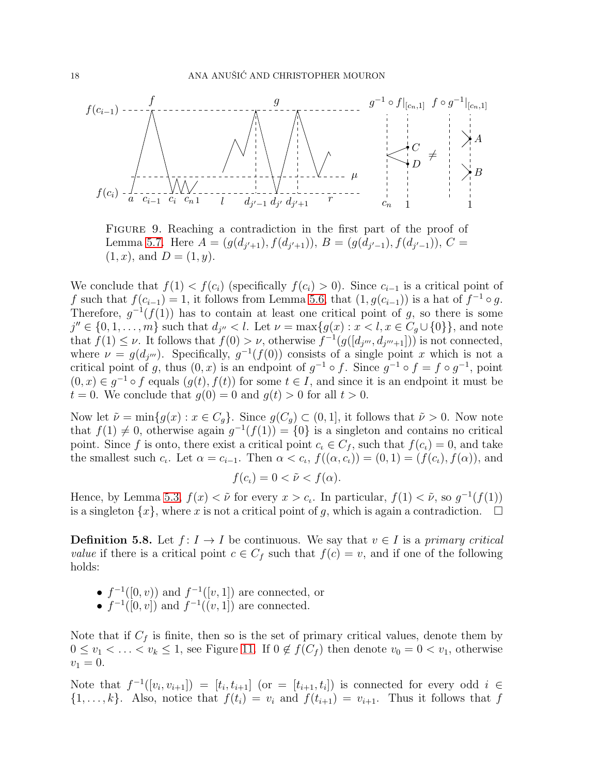

<span id="page-17-1"></span>Figure 9. Reaching a contradiction in the first part of the proof of Lemma [5.7.](#page-15-2) Here  $A = (g(d_{j'+1}), f(d_{j'+1})), B = (g(d_{j'-1}), f(d_{j'-1})), C =$  $(1, x)$ , and  $D = (1, y)$ .

We conclude that  $f(1) < f(c_i)$  (specifically  $f(c_i) > 0$ ). Since  $c_{i-1}$  is a critical point of f such that  $f(c_{i-1}) = 1$ , it follows from Lemma [5.6,](#page-15-1) that  $(1, g(c_{i-1}))$  is a hat of  $f^{-1} \circ g$ . Therefore,  $g^{-1}(f(1))$  has to contain at least one critical point of g, so there is some  $j'' \in \{0, 1, \ldots, m\}$  such that  $d_{j''} < l$ . Let  $\nu = \max\{g(x) : x < l, x \in C_g \cup \{0\}\}\)$ , and note that  $f(1) \leq \nu$ . It follows that  $f(0) > \nu$ , otherwise  $f^{-1}(g([d_{j'''}, d_{j'''+1}]))$  is not connected, where  $\nu = g(d_{j''})$ . Specifically,  $g^{-1}(f(0))$  consists of a single point x which is not a critical point of g, thus  $(0, x)$  is an endpoint of  $g^{-1} \circ f$ . Since  $g^{-1} \circ f = f \circ g^{-1}$ , point  $(0, x) \in g^{-1} \circ f$  equals  $(g(t), f(t))$  for some  $t \in I$ , and since it is an endpoint it must be  $t = 0$ . We conclude that  $q(0) = 0$  and  $q(t) > 0$  for all  $t > 0$ .

Now let  $\tilde{\nu} = \min\{g(x) : x \in C_g\}$ . Since  $g(C_g) \subset (0, 1]$ , it follows that  $\tilde{\nu} > 0$ . Now note that  $f(1) \neq 0$ , otherwise again  $g^{-1}(f(1)) = \{0\}$  is a singleton and contains no critical point. Since f is onto, there exist a critical point  $c_i \in C_f$ , such that  $f(c_i) = 0$ , and take the smallest such  $c_i$ . Let  $\alpha = c_{i-1}$ . Then  $\alpha < c_i$ ,  $f((\alpha, c_i)) = (0, 1) = (f(c_i), f(\alpha))$ , and

$$
f(c_{\iota}) = 0 < \tilde{\nu} < f(\alpha).
$$

Hence, by Lemma [5.3,](#page-13-1)  $f(x) < \tilde{\nu}$  for every  $x > c_i$ . In particular,  $f(1) < \tilde{\nu}$ , so  $g^{-1}(f(1))$ is a singleton  $\{x\}$ , where x is not a critical point of g, which is again a contradiction.  $\Box$ 

<span id="page-17-0"></span>**Definition 5.8.** Let  $f: I \to I$  be continuous. We say that  $v \in I$  is a *primary critical value* if there is a critical point  $c \in C_f$  such that  $f(c) = v$ , and if one of the following holds:

- $f^{-1}([0, v))$  and  $f^{-1}([v, 1])$  are connected, or
- $f^{-1}([0, v])$  and  $f^{-1}((v, 1])$  are connected.

Note that if  $C_f$  is finite, then so is the set of primary critical values, denote them by  $0 \le v_1 < \ldots < v_k \le 1$ , see Figure [11.](#page-18-0) If  $0 \notin f(C_f)$  then denote  $v_0 = 0 < v_1$ , otherwise  $v_1 = 0.$ 

Note that  $f^{-1}([v_i, v_{i+1}]) = [t_i, t_{i+1}]$  (or  $=[t_{i+1}, t_i]$ ) is connected for every odd  $i \in$  $\{1,\ldots,k\}$ . Also, notice that  $f(t_i) = v_i$  and  $f(t_{i+1}) = v_{i+1}$ . Thus it follows that f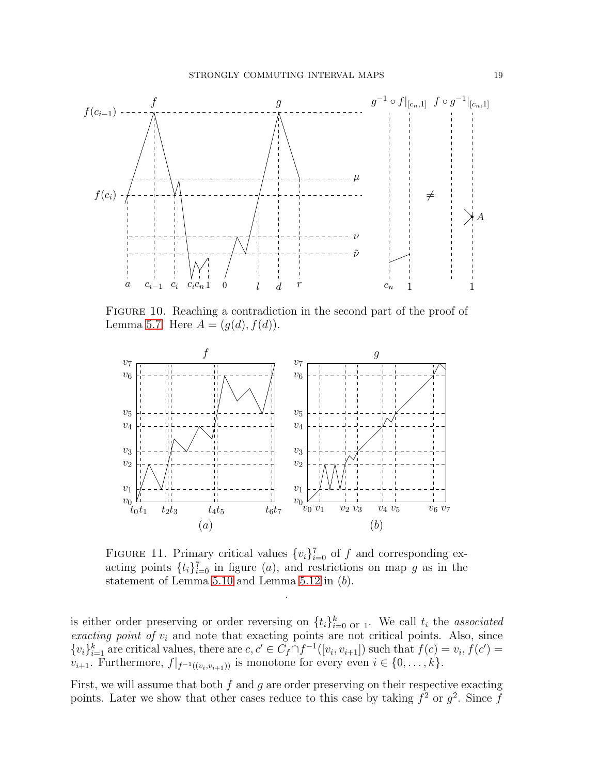

<span id="page-18-1"></span>FIGURE 10. Reaching a contradiction in the second part of the proof of Lemma [5.7.](#page-15-2) Here  $A = (g(d), f(d)).$ 



<span id="page-18-0"></span>FIGURE 11. Primary critical values  $\{v_i\}_{i=0}^7$  of f and corresponding exacting points  $\{t_i\}_{i=0}^7$  in figure (*a*), and restrictions on map g as in the statement of Lemma [5.10](#page-19-0) and Lemma [5.12](#page-19-1) in (b).

.

is either order preserving or order reversing on  $\{t_i\}_{i=0}^k$  or 1. We call  $t_i$  the *associated exacting point of*  $v_i$  and note that exacting points are not critical points. Also, since  $\{v_i\}_{i=1}^k$  are critical values, there are  $c, c' \in C_f \cap f^{-1}([v_i, v_{i+1}])$  such that  $f(c) = v_i, f(c') = f(c')$  $v_{i+1}$ . Furthermore,  $f|_{f^{-1}((v_i, v_{i+1}))}$  is monotone for every even  $i \in \{0, \ldots, k\}$ .

First, we will assume that both  $f$  and  $g$  are order preserving on their respective exacting points. Later we show that other cases reduce to this case by taking  $f^2$  or  $g^2$ . Since f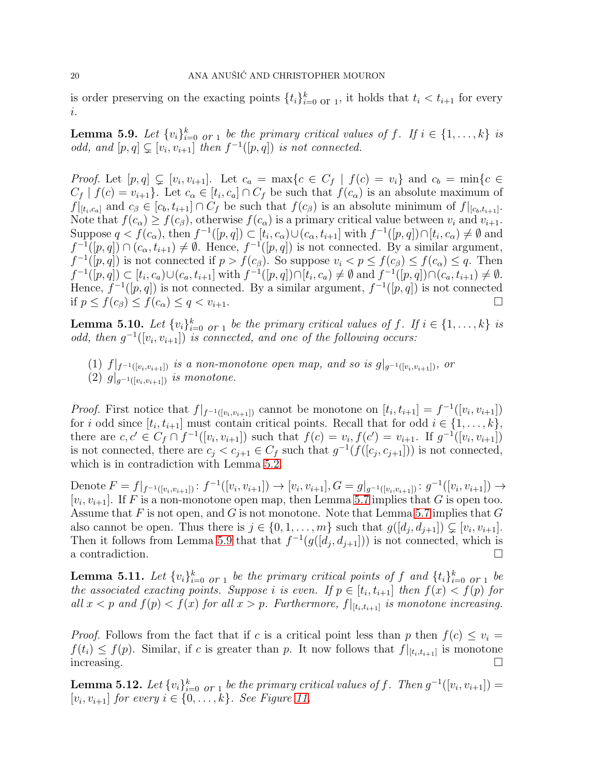is order preserving on the exacting points  $\{t_i\}_{i=0}^k$  or 1, it holds that  $t_i < t_{i+1}$  for every i.

<span id="page-19-2"></span>**Lemma 5.9.** Let  $\{v_i\}_{i=0}^k$  or 1 be the primary critical values of f. If  $i \in \{1, \ldots, k\}$  is *odd, and*  $[p,q] \subsetneq [v_i, v_{i+1}]$  *then*  $f^{-1}([p,q])$  *is not connected.* 

*Proof.* Let  $[p,q] \subsetneq [v_i, v_{i+1}]$ . Let  $c_a = \max\{c \in C_f | f(c) = v_i\}$  and  $c_b = \min\{c \in C_f | c_i \leq c_i\}$  $C_f | f(c) = v_{i+1}$ . Let  $c_{\alpha} \in [t_i, c_a] \cap C_f$  be such that  $f(c_{\alpha})$  is an absolute maximum of  $f|_{[t_i,c_a]}$  and  $c_\beta \in [c_b, t_{i+1}] \cap C_f$  be such that  $f(c_\beta)$  is an absolute minimum of  $f|_{[c_b,t_{i+1}]}.$ Note that  $f(c_{\alpha}) \ge f(c_{\beta})$ , otherwise  $f(c_{\alpha})$  is a primary critical value between  $v_i$  and  $v_{i+1}$ . Suppose  $q \lt f(c_\alpha)$ , then  $f^{-1}([p,q]) \subset [t_i,c_\alpha) \cup (c_\alpha,t_{i+1}]$  with  $f^{-1}([p,q]) \cap [t_i,c_\alpha) \neq \emptyset$  and  $f^{-1}([p,q]) \cap (c_{\alpha}, t_{i+1}) \neq \emptyset$ . Hence,  $f^{-1}([p,q])$  is not connected. By a similar argument,  $f^{-1}([p,q])$  is not connected if  $p > f(c_{\beta})$ . So suppose  $v_i < p \le f(c_{\beta}) \le f(c_{\alpha}) \le q$ . Then  $f^{-1}([p,q]) \subset [t_i, c_a) \cup (c_a, t_{i+1}]$  with  $f^{-1}([p,q]) \cap [t_i, c_a) \neq \emptyset$  and  $f^{-1}([p,q]) \cap (c_a, t_{i+1}) \neq \emptyset$ . Hence,  $f^{-1}([p,q])$  is not connected. By a similar argument,  $f^{-1}([p,q])$  is not connected if  $p \le f(c_\beta) \le f(c_\alpha) \le q < v_{i+1}$ .

<span id="page-19-0"></span>**Lemma 5.10.** Let  $\{v_i\}_{i=0}^k$  or 1 be the primary critical values of f. If  $i \in \{1, \ldots, k\}$  is *odd, then*  $g^{-1}([v_i, v_{i+1}])$  *is connected, and one of the following occurs:* 

(1)  $f|_{f^{-1}([v_i,v_{i+1}])}$  *is a non-monotone open map, and so is*  $g|_{g^{-1}([v_i,v_{i+1}])}$ *, or* (2)  $g|_{q^{-1}([v_i,v_{i+1}])}$  *is monotone.* 

*Proof.* First notice that  $f|_{f^{-1}([v_i, v_{i+1}])}$  cannot be monotone on  $[t_i, t_{i+1}] = f^{-1}([v_i, v_{i+1}])$ for i odd since  $[t_i, t_{i+1}]$  must contain critical points. Recall that for odd  $i \in \{1, ..., k\},$ there are  $c, c' \in C_f \cap f^{-1}([v_i, v_{i+1}])$  such that  $f(c) = v_i, f(c') = v_{i+1}$ . If  $g^{-1}([v_i, v_{i+1}])$ is not connected, there are  $c_j < c_{j+1} \in C_f$  such that  $g^{-1}(f([c_j, c_{j+1}]))$  is not connected, which is in contradiction with Lemma [5.2.](#page-12-1)

Denote  $F = f|_{f^{-1}([v_i, v_{i+1}])} : f^{-1}([v_i, v_{i+1}]) \to [v_i, v_{i+1}], G = g|_{g^{-1}([v_i, v_{i+1}])} : g^{-1}([v_i, v_{i+1}]) \to$  $[v_i, v_{i+1}]$ . If F is a non-monotone open map, then Lemma [5.7](#page-15-2) implies that G is open too. Assume that F is not open, and G is not monotone. Note that Lemma [5.7](#page-15-2) implies that  $G$ also cannot be open. Thus there is  $j \in \{0, 1, \ldots, m\}$  such that  $g([d_j, d_{j+1}]) \subsetneq [v_i, v_{i+1}]$ . Then it follows from Lemma [5.9](#page-19-2) that that  $f^{-1}(g([d_j, d_{j+1}]))$  is not connected, which is a contradiction.  $\Box$ 

<span id="page-19-3"></span>**Lemma 5.11.** Let  $\{v_i\}_{i=0}^k$  *or* 1 *be the primary critical points of* f *and*  $\{t_i\}_{i=0}^k$  *or* 1 *be the associated exacting points. Suppose i is even.* If  $p \in [t_i, t_{i+1}]$  *then*  $f(x) < f(p)$  *for all*  $x < p$  *and*  $f(p) < f(x)$  *for all*  $x > p$ *. Furthermore,*  $f|_{[t_i, t_{i+1}]}$  *is monotone increasing.* 

*Proof.* Follows from the fact that if c is a critical point less than p then  $f(c) \leq v_i =$  $f(t_i) \leq f(p)$ . Similar, if c is greater than p. It now follows that  $f|_{[t_i,t_{i+1}]}$  is monotone  $\sum$  increasing.

<span id="page-19-1"></span>**Lemma 5.12.** Let  $\{v_i\}_{i=0}^k$  or  $\underset{1}{\phantom{a}}$  be the primary critical values of f. Then  $g^{-1}([v_i, v_{i+1}]) =$  $[v_i, v_{i+1}]$  *for every*  $i \in \{0, ..., k\}$ *. See Figure [11.](#page-18-0)*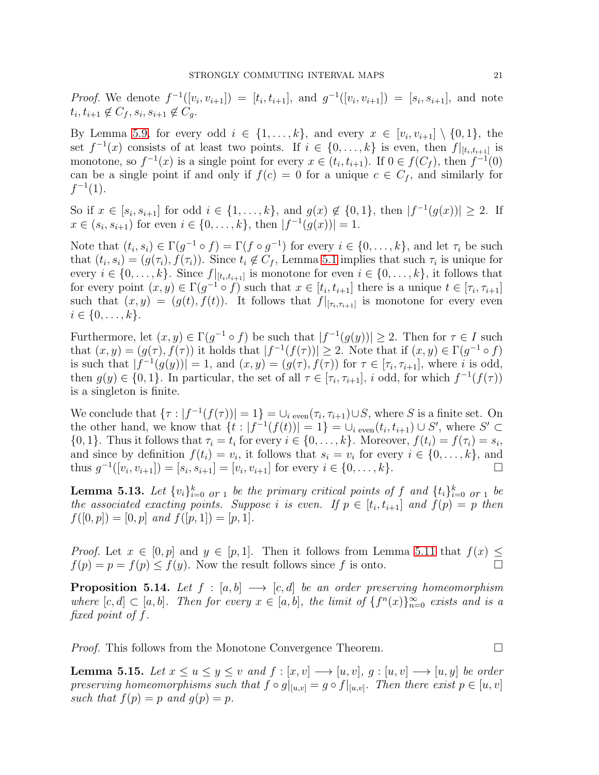*Proof.* We denote  $f^{-1}([v_i, v_{i+1}]) = [t_i, t_{i+1}],$  and  $g^{-1}([v_i, v_{i+1}]) = [s_i, s_{i+1}],$  and note  $t_i, t_{i+1} \notin C_f, s_i, s_{i+1} \notin C_g.$ 

By Lemma [5.9,](#page-19-2) for every odd  $i \in \{1, \ldots, k\}$ , and every  $x \in [v_i, v_{i+1}] \setminus \{0, 1\}$ , the set  $f^{-1}(x)$  consists of at least two points. If  $i \in \{0,\ldots,k\}$  is even, then  $f|_{[t_i,t_{i+1}]}$  is monotone, so  $f^{-1}(x)$  is a single point for every  $x \in (t_i, t_{i+1})$ . If  $0 \in f(C_f)$ , then  $f^{-1}(0)$ can be a single point if and only if  $f(c) = 0$  for a unique  $c \in C_f$ , and similarly for  $f^{-1}(1)$ .

So if  $x \in [s_i, s_{i+1}]$  for odd  $i \in \{1, ..., k\}$ , and  $g(x) \notin \{0, 1\}$ , then  $|f^{-1}(g(x))| \ge 2$ . If  $x \in (s_i, s_{i+1})$  for even  $i \in \{0, ..., k\}$ , then  $|f^{-1}(g(x))| = 1$ .

Note that  $(t_i, s_i) \in \Gamma(g^{-1} \circ f) = \Gamma(f \circ g^{-1})$  for every  $i \in \{0, \ldots, k\}$ , and let  $\tau_i$  be such that  $(t_i, s_i) = (g(\tau_i), f(\tau_i))$ . Since  $t_i \notin C_f$ , Lemma [5.1](#page-12-2) implies that such  $\tau_i$  is unique for every  $i \in \{0, \ldots, k\}$ . Since  $f|_{[t_i, t_{i+1}]}$  is monotone for even  $i \in \{0, \ldots, k\}$ , it follows that for every point  $(x, y) \in \Gamma(g^{-1} \circ f)$  such that  $x \in [t_i, t_{i+1}]$  there is a unique  $t \in [\tau_i, \tau_{i+1}]$ such that  $(x, y) = (g(t), f(t))$ . It follows that  $f|_{[\tau_i, \tau_{i+1}]}$  is monotone for every even  $i \in \{0, \ldots, k\}.$ 

Furthermore, let  $(x, y) \in \Gamma(g^{-1} \circ f)$  be such that  $|f^{-1}(g(y))| \geq 2$ . Then for  $\tau \in I$  such that  $(x, y) = (g(\tau), f(\tau))$  it holds that  $|f^{-1}(f(\tau))| \geq 2$ . Note that if  $(x, y) \in \Gamma(g^{-1} \circ f)$ is such that  $|f^{-1}(g(y))|=1$ , and  $(x,y)=(g(\tau),f(\tau))$  for  $\tau \in [\tau_i,\tau_{i+1}]$ , where i is odd, then  $g(y) \in \{0,1\}$ . In particular, the set of all  $\tau \in [\tau_i, \tau_{i+1}]$ , i odd, for which  $f^{-1}(f(\tau))$ is a singleton is finite.

We conclude that  $\{\tau : |f^{-1}(f(\tau))| = 1\} = \bigcup_{i \text{ even}} (\tau_i, \tau_{i+1}) \cup S$ , where S is a finite set. On the other hand, we know that  $\{t : |f^{-1}(f(t))| = 1\} = \bigcup_{i \text{ even}} (t_i, t_{i+1}) \cup S'$ , where  $S' \subset$  $\{0, 1\}$ . Thus it follows that  $\tau_i = t_i$  for every  $i \in \{0, \ldots, k\}$ . Moreover,  $f(t_i) = f(\tau_i) = s_i$ , and since by definition  $f(t_i) = v_i$ , it follows that  $s_i = v_i$  for every  $i \in \{0, \ldots, k\}$ , and thus  $g^{-1}([v_i, v_{i+1}]) = [s_i, s_{i+1}] = [v_i, v_{i+1}]$  for every  $i \in \{0, ..., k\}$ .

<span id="page-20-2"></span>**Lemma 5.13.** Let  $\{v_i\}_{i=0}^k$  *or* 1 *be the primary critical points of* f *and*  $\{t_i\}_{i=0}^k$  *or* 1 *be the associated exacting points. Suppose i is even.* If  $p \in [t_i, t_{i+1}]$  and  $f(p) = p$  then  $f([0, p]) = [0, p]$  and  $f([p, 1]) = [p, 1]$ .

*Proof.* Let  $x \in [0, p]$  and  $y \in [p, 1]$ . Then it follows from Lemma [5.11](#page-19-3) that  $f(x) \leq$  $f(p) = p = f(p) \le f(y)$ . Now the result follows since f is onto.

<span id="page-20-0"></span>**Proposition 5.14.** Let  $f : [a, b] \longrightarrow [c, d]$  be an order preserving homeomorphism where  $[c, d] \subset [a, b]$ . Then for every  $x \in [a, b]$ , the limit of  $\{f^n(x)\}_{n=0}^{\infty}$  exists and is a *fixed point of* f*.*

*Proof.* This follows from the Monotone Convergence Theorem.

<span id="page-20-1"></span>**Lemma 5.15.** Let  $x \leq u \leq y \leq v$  and  $f : [x, v] \longrightarrow [u, v], g : [u, v] \longrightarrow [u, y]$  be order *preserving homeomorphisms such that*  $f \circ g|_{[u,v]} = g \circ f|_{[u,v]}$ . Then there exist  $p \in [u, v]$ such that  $f(p) = p$  and  $g(p) = p$ .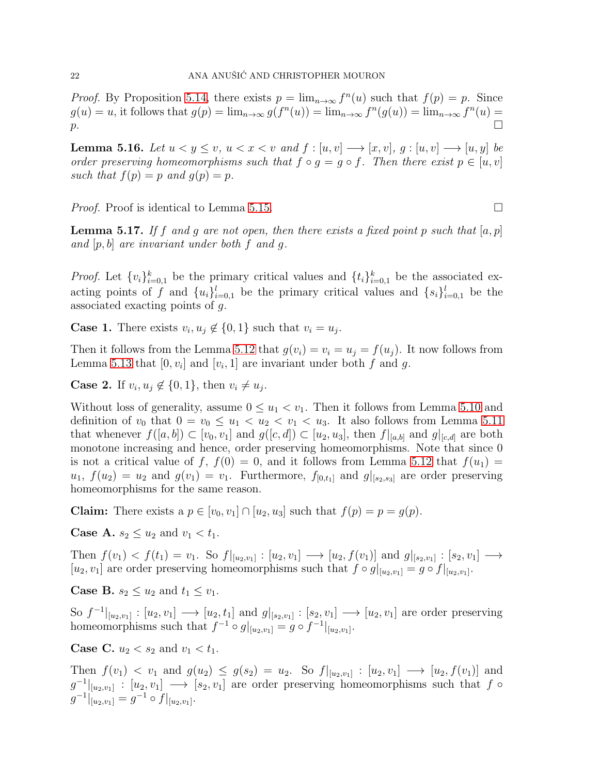*Proof.* By Proposition [5.14,](#page-20-0) there exists  $p = \lim_{n \to \infty} f^{n}(u)$  such that  $f(p) = p$ . Since  $g(u) = u$ , it follows that  $g(p) = \lim_{n \to \infty} g(f^n(u)) = \lim_{n \to \infty} f^n(g(u)) = \lim_{n \to \infty} f^n(u) =$  $p.$ 

<span id="page-21-1"></span>**Lemma 5.16.** Let  $u < y \leq v$ ,  $u < x < v$  and  $f : [u, v] \rightarrow [x, v]$ ,  $g : [u, v] \rightarrow [u, y]$  be *order preserving homeomorphisms such that*  $f \circ q = q \circ f$ . Then there exist  $p \in [u, v]$ *such that*  $f(p) = p$  *and*  $g(p) = p$ .

*Proof.* Proof is identical to Lemma [5.15.](#page-20-1) □

<span id="page-21-0"></span>**Lemma 5.17.** If f and g are not open, then there exists a fixed point p such that  $[a, p]$ *and* [p, b] *are invariant under both* f *and* g*.*

*Proof.* Let  $\{v_i\}_{i=0,1}^k$  be the primary critical values and  $\{t_i\}_{i=0,1}^k$  be the associated exacting points of f and  $\{u_i\}_{i=0,1}^l$  be the primary critical values and  $\{s_i\}_{i=0,1}^l$  be the associated exacting points of g.

**Case 1.** There exists  $v_i, u_j \notin \{0, 1\}$  such that  $v_i = u_j$ .

Then it follows from the Lemma [5.12](#page-19-1) that  $g(v_i) = v_i = u_j = f(u_j)$ . It now follows from Lemma [5.13](#page-20-2) that  $[0, v_i]$  and  $[v_i, 1]$  are invariant under both f and g.

**Case 2.** If  $v_i, u_j \notin \{0, 1\}$ , then  $v_i \neq u_j$ .

Without loss of generality, assume  $0 \le u_1 < v_1$ . Then it follows from Lemma [5.10](#page-19-0) and definition of  $v_0$  that  $0 = v_0 \le u_1 < u_2 < v_1 < u_3$ . It also follows from Lemma [5.11](#page-19-3) that whenever  $f([a, b]) \subset [v_0, v_1]$  and  $g([c, d]) \subset [u_2, u_3]$ , then  $f|_{[a,b]}$  and  $g|_{[c,d]}$  are both monotone increasing and hence, order preserving homeomorphisms. Note that since 0 is not a critical value of f,  $f(0) = 0$ , and it follows from Lemma [5.12](#page-19-1) that  $f(u_1) =$  $u_1, f(u_2) = u_2$  and  $g(v_1) = v_1$ . Furthermore,  $f_{[0,t_1]}$  and  $g|_{[s_2,s_3]}$  are order preserving homeomorphisms for the same reason.

**Claim:** There exists a  $p \in [v_0, v_1] \cap [u_2, u_3]$  such that  $f(p) = p = g(p)$ .

**Case A.**  $s_2 \leq u_2$  and  $v_1 < t_1$ .

Then  $f(v_1) < f(t_1) = v_1$ . So  $f|_{[u_2,v_1]} : [u_2,v_1] \longrightarrow [u_2,f(v_1)]$  and  $g|_{[s_2,v_1]} : [s_2,v_1] \longrightarrow$  $[u_2, v_1]$  are order preserving homeomorphisms such that  $f \circ g|_{[u_2, v_1]} = g \circ f|_{[u_2, v_1]}.$ 

**Case B.**  $s_2 \leq u_2$  and  $t_1 \leq v_1$ .

So  $f^{-1}|_{[u_2,v_1]} : [u_2,v_1] \longrightarrow [u_2,t_1]$  and  $g|_{[s_2,v_1]} : [s_2,v_1] \longrightarrow [u_2,v_1]$  are order preserving homeomorphisms such that  $f^{-1} \circ g|_{[u_2, v_1]} = g \circ f^{-1}|_{[u_2, v_1]}.$ 

**Case C.**  $u_2 < s_2$  and  $v_1 < t_1$ .

Then  $f(v_1) < v_1$  and  $g(u_2) \le g(s_2) = u_2$ . So  $f|_{[u_2, v_1]} : [u_2, v_1] \longrightarrow [u_2, f(v_1)]$  and  $g^{-1}|_{[u_2,v_1]}$ :  $[u_2,v_1] \longrightarrow [s_2,v_1]$  are order preserving homeomorphisms such that f  $\circ$  $g^{-1}|_{[u_2,v_1]} = g^{-1} \circ f|_{[u_2,v_1]}.$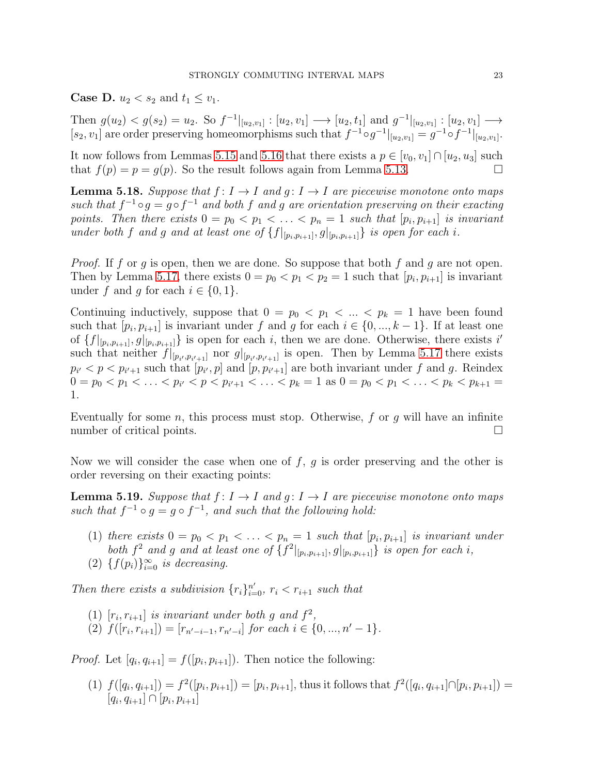**Case D.**  $u_2 < s_2$  and  $t_1 \leq v_1$ .

Then  $g(u_2) < g(s_2) = u_2$ . So  $f^{-1}|_{[u_2, v_1]} : [u_2, v_1] \longrightarrow [u_2, t_1]$  and  $g^{-1}|_{[u_2, v_1]} : [u_2, v_1] \longrightarrow$  $[s_2, v_1]$  are order preserving homeomorphisms such that  $f^{-1} \circ g^{-1}|_{[u_2, v_1]} = g^{-1} \circ f^{-1}|_{[u_2, v_1]}.$ 

It now follows from Lemmas [5.15](#page-20-1) and [5.16](#page-21-1) that there exists a  $p \in [v_0, v_1] \cap [u_2, u_3]$  such that  $f(p) = p = g(p)$ . So the result follows again from Lemma [5.13.](#page-20-2)

<span id="page-22-1"></span>**Lemma 5.18.** Suppose that  $f: I \to I$  and  $g: I \to I$  are piecewise monotone onto maps such that  $f^{-1} \circ g = g \circ f^{-1}$  and both f and g are orientation preserving on their exacting points. Then there exists  $0 = p_0 < p_1 < \ldots < p_n = 1$  such that  $[p_i, p_{i+1}]$  is invariant *under both* f and g and at least one of  $\{f|_{[p_i,p_{i+1}]}, g|_{[p_i,p_{i+1}]}\}$  *is open for each i.* 

*Proof.* If f or g is open, then we are done. So suppose that both f and g are not open. Then by Lemma [5.17,](#page-21-0) there exists  $0 = p_0 < p_1 < p_2 = 1$  such that  $[p_i, p_{i+1}]$  is invariant under f and g for each  $i \in \{0,1\}$ .

Continuing inductively, suppose that  $0 = p_0 < p_1 < ... < p_k = 1$  have been found such that  $[p_i, p_{i+1}]$  is invariant under f and g for each  $i \in \{0, ..., k-1\}$ . If at least one of  $\{f|_{[p_i,p_{i+1}]}, g|_{[p_i,p_{i+1}]}\}$  is open for each i, then we are done. Otherwise, there exists i such that neither  $f|_{[p_{i'},p_{i'+1}]}$  nor  $g|_{[p_{i'},p_{i'+1}]}$  is open. Then by Lemma [5.17](#page-21-0) there exists  $p_{i'} < p < p_{i'+1}$  such that  $[p_{i'}, p]$  and  $[p, p_{i'+1}]$  are both invariant under f and g. Reindex  $0 = p_0 < p_1 < \ldots < p_{i'} < p < p_{i'+1} < \ldots < p_k = 1$  as  $0 = p_0 < p_1 < \ldots < p_k < p_{k+1} =$ 1.

Eventually for some  $n$ , this process must stop. Otherwise,  $f$  or  $q$  will have an infinite number of critical points.

Now we will consider the case when one of  $f, g$  is order preserving and the other is order reversing on their exacting points:

<span id="page-22-0"></span>**Lemma 5.19.** *Suppose that*  $f: I \to I$  *and*  $g: I \to I$  *are piecewise monotone onto maps* such that  $f^{-1} \circ g = g \circ f^{-1}$ , and such that the following hold:

- (1) there exists  $0 = p_0 < p_1 < \ldots < p_n = 1$  such that  $[p_i, p_{i+1}]$  is invariant under *both*  $f^2$  *and*  $g$  *and at least one of*  $\{f^2|_{[p_i,p_{i+1}]}, g|_{[p_i,p_{i+1}]}\}$  *is open for each i*,
- (2)  $\{f(p_i)\}_{i=0}^{\infty}$  *is decreasing.*

*Then there exists a subdivision*  $\{r_i\}_{i=0}^{n'}$ ,  $r_i < r_{i+1}$  *such that* 

- (1)  $[r_i, r_{i+1}]$  *is invariant under both g and*  $f^2$ ,
- (2)  $f([r_i, r_{i+1}]) = [r_{n'-i-1}, r_{n'-i}]$  for each  $i \in \{0, ..., n'-1\}.$

*Proof.* Let  $[q_i, q_{i+1}] = f([p_i, p_{i+1}])$ . Then notice the following:

(1)  $f([q_i, q_{i+1}]) = f^2([p_i, p_{i+1}]) = [p_i, p_{i+1}],$  thus it follows that  $f^2([q_i, q_{i+1}] \cap [p_i, p_{i+1}]) =$  $[q_i, q_{i+1}] \cap [p_i, p_{i+1}]$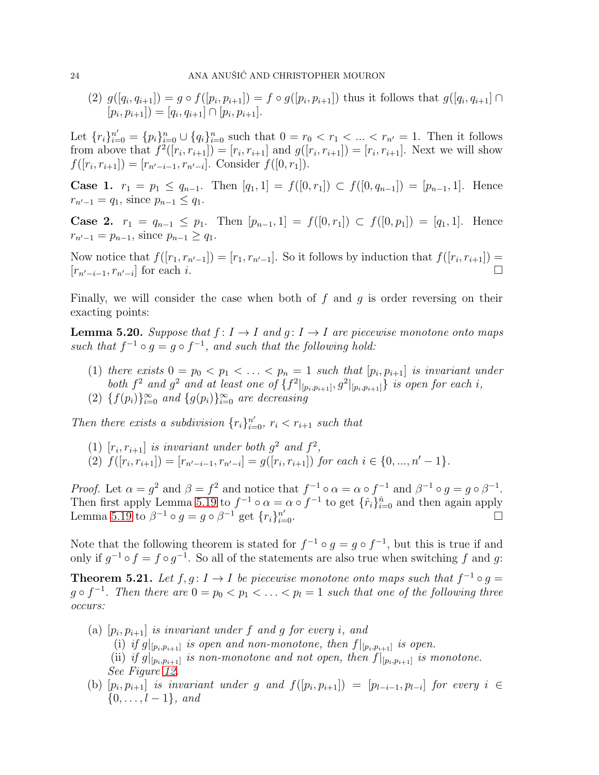$(2)$   $g([q_i, q_{i+1}]) = g \circ f([p_i, p_{i+1}]) = f \circ g([p_i, p_{i+1}])$  thus it follows that  $g([q_i, q_{i+1}]) \cap$  $[p_i, p_{i+1}]$ ) =  $[q_i, q_{i+1}] \cap [p_i, p_{i+1}].$ 

Let  $\{r_i\}_{i=0}^{n'} = \{p_i\}_{i=0}^n \cup \{q_i\}_{i=0}^n$  such that  $0 = r_0 < r_1 < \ldots < r_{n'} = 1$ . Then it follows from above that  $f^2([r_i, r_{i+1}]) = [r_i, r_{i+1}]$  and  $g([r_i, r_{i+1}]) = [r_i, r_{i+1}]$ . Next we will show  $f([r_i, r_{i+1}]) = [r_{n'-i-1}, r_{n'-i}]$ . Consider  $f([0, r_1])$ .

Case 1.  $r_1 = p_1 \le q_{n-1}$ . Then  $[q_1, 1] = f([0, r_1]) \subset f([0, q_{n-1}]) = [p_{n-1}, 1]$ . Hence  $r_{n'-1} = q_1$ , since  $p_{n-1} \leq q_1$ .

Case 2.  $r_1 = q_{n-1} \leq p_1$ . Then  $[p_{n-1}, 1] = f([0, r_1]) \subset f([0, p_1]) = [q_1, 1]$ . Hence  $r_{n'-1} = p_{n-1}$ , since  $p_{n-1} \geq q_1$ .

Now notice that  $f([r_1, r_{n'-1}]) = [r_1, r_{n'-1}]$ . So it follows by induction that  $f([r_i, r_{i+1}]) =$  $[r_{n'-i-1}, r_{n'-i}]$  for each i.

Finally, we will consider the case when both of  $f$  and  $g$  is order reversing on their exacting points:

<span id="page-23-1"></span>**Lemma 5.20.** Suppose that  $f: I \to I$  and  $g: I \to I$  are piecewise monotone onto maps such that  $f^{-1} \circ g = g \circ f^{-1}$ , and such that the following hold:

- (1) there exists  $0 = p_0 < p_1 < \ldots < p_n = 1$  such that  $[p_i, p_{i+1}]$  is invariant under both  $f^2$  and  $g^2$  and at least one of  $\{f^2|_{[p_i,p_{i+1}]}, g^2|_{[p_i,p_{i+1}]}\}$  is open for each i,
- (2)  $\{f(p_i)\}_{i=0}^{\infty}$  and  $\{g(p_i)\}_{i=0}^{\infty}$  are decreasing

*Then there exists a subdivision*  $\{r_i\}_{i=0}^{n'}$ ,  $r_i < r_{i+1}$  *such that* 

- (1)  $[r_i, r_{i+1}]$  *is invariant under both*  $g^2$  *and*  $f^2$ *,*
- (2)  $f([r_i, r_{i+1}]) = [r_{n'-i-1}, r_{n'-i}] = g([r_i, r_{i+1}])$  for each  $i \in \{0, ..., n'-1\}$ .

*Proof.* Let  $\alpha = g^2$  and  $\beta = f^2$  and notice that  $f^{-1} \circ \alpha = \alpha \circ f^{-1}$  and  $\beta^{-1} \circ g = g \circ \beta^{-1}$ . Then first apply Lemma [5.19](#page-22-0) to  $f^{-1} \circ \alpha = \alpha \circ f^{-1}$  to get  $\{\hat{r}_i\}_{i=0}^{\hat{n}}$  and then again apply Lemma [5.19](#page-22-0) to  $\beta^{-1} \circ g = g \circ \beta^{-1}$  get  $\{r_i\}_{i=1}^{n'}$  $\sum_{i=0}^{n'}$ .

Note that the following theorem is stated for  $f^{-1} \circ g = g \circ f^{-1}$ , but this is true if and only if  $g^{-1} \circ f = f \circ g^{-1}$ . So all of the statements are also true when switching f and g:

<span id="page-23-0"></span>**Theorem 5.21.** Let  $f, g: I \to I$  be piecewise monotone onto maps such that  $f^{-1} \circ g =$  $g \circ f^{-1}$ . Then there are  $0 = p_0 < p_1 < \ldots < p_l = 1$  such that one of the following three *occurs:*

- $(a)$   $[p_i, p_{i+1}]$  *is invariant under*  $f$  *and*  $g$   $for$  *every*  $i$ *, and* 
	- (i) if  $g|_{[p_i,p_{i+1}]}$  is open and non-monotone, then  $f|_{[p_i,p_{i+1}]}$  is open.
	- (ii) if  $g|_{[p_i,p_{i+1}]}$  is non-monotone and not open, then  $f|_{[p_i,p_{i+1}]}$  is monotone. *See Figure [12.](#page-24-0)*
- (b)  $[p_i, p_{i+1}]$  *is invariant under* g and  $f([p_i, p_{i+1}]) = [p_{l-i-1}, p_{l-i}]$  for every  $i \in$  $\{0, \ldots, l-1\}$ *, and*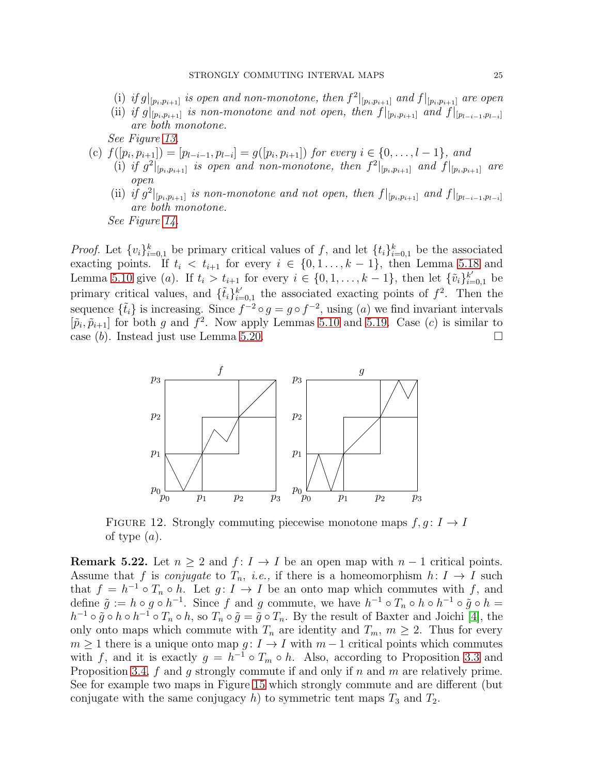- (i) if  $g|_{[p_i,p_{i+1}]}$  is open and non-monotone, then  $f^2|_{[p_i,p_{i+1}]}$  and  $f|_{[p_i,p_{i+1}]}$  are open
- (ii) if  $g|_{[p_i,p_{i+1}]}$  is non-monotone and not open, then  $f|_{[p_i,p_{i+1}]}$  and  $f|_{[p_{l-i-1},p_{l-i}]}$ *are both monotone.*

*See Figure [13.](#page-25-0)*

- (c)  $f([p_i, p_{i+1}]) = [p_{l-i-1}, p_{l-i}] = g([p_i, p_{i+1}])$  for every  $i \in \{0, ..., l-1\}$ , and
	- (i) if  $g^2|_{[p_i,p_{i+1}]}$  is open and non-monotone, then  $f^2|_{[p_i,p_{i+1}]}$  and  $f|_{[p_i,p_{i+1}]}$  are *open*
	- (ii) if  $g^2|_{[p_i,p_{i+1}]}$  is non-monotone and not open, then  $f|_{[p_i,p_{i+1}]}$  and  $f|_{[p_{l-i-1},p_{l-i}]}$ *are both monotone.*

*See Figure [14.](#page-25-1)*

*Proof.* Let  $\{v_i\}_{i=0,1}^k$  be primary critical values of f, and let  $\{t_i\}_{i=0,1}^k$  be the associated exacting points. If  $t_i < t_{i+1}$  for every  $i \in \{0, 1, \ldots, k-1\}$ , then Lemma [5.18](#page-22-1) and Lemma [5.10](#page-19-0) give (a). If  $t_i > t_{i+1}$  for every  $i \in \{0, 1, ..., k-1\}$ , then let  $\{\tilde{v}_i\}_{i=0,1}^{k'}$  be primary critical values, and  $\{\tilde{t}_i\}_{i=1}^{k'}$  $_{i=0,1}^{k'}$  the associated exacting points of  $f^2$ . Then the sequence  $\{\tilde{t}_i\}$  is increasing. Since  $f^{-2} \circ g = g \circ f^{-2}$ , using  $(a)$  we find invariant intervals  $[\tilde{p}_i, \tilde{p}_{i+1}]$  for both g and  $f^2$ . Now apply Lemmas [5.10](#page-19-0) and [5.19.](#page-22-0) Case (c) is similar to case  $(b)$ . Instead just use Lemma [5.20.](#page-23-1)



<span id="page-24-0"></span>FIGURE 12. Strongly commuting piecewise monotone maps  $f, q: I \rightarrow I$ of type  $(a)$ .

**Remark 5.22.** Let  $n \geq 2$  and  $f: I \to I$  be an open map with  $n-1$  critical points. Assume that f is *conjugate* to  $T_n$ , *i.e.*, if there is a homeomorphism  $h: I \to I$  such that  $f = h^{-1} \circ T_n \circ h$ . Let  $g: I \to I$  be an onto map which commutes with f, and define  $\tilde{g} := h \circ g \circ h^{-1}$ . Since f and g commute, we have  $h^{-1} \circ T_n \circ h \circ h^{-1} \circ \tilde{g} \circ h =$  $h^{-1} \circ \tilde{g} \circ h \circ h^{-1} \circ T_n \circ h$ , so  $T_n \circ \tilde{g} = \tilde{g} \circ T_n$ . By the result of Baxter and Joichi [\[4\]](#page-26-13), the only onto maps which commute with  $T_n$  are identity and  $T_m$ ,  $m \geq 2$ . Thus for every  $m \geq 1$  there is a unique onto map  $g: I \to I$  with  $m-1$  critical points which commutes with f, and it is exactly  $g = h^{-1} \circ T_m \circ h$ . Also, according to Proposition [3.3](#page-5-1) and Proposition [3.4,](#page-6-0)  $f$  and  $g$  strongly commute if and only if  $n$  and  $m$  are relatively prime. See for example two maps in Figure [15](#page-26-14) which strongly commute and are different (but conjugate with the same conjugacy h) to symmetric tent maps  $T_3$  and  $T_2$ .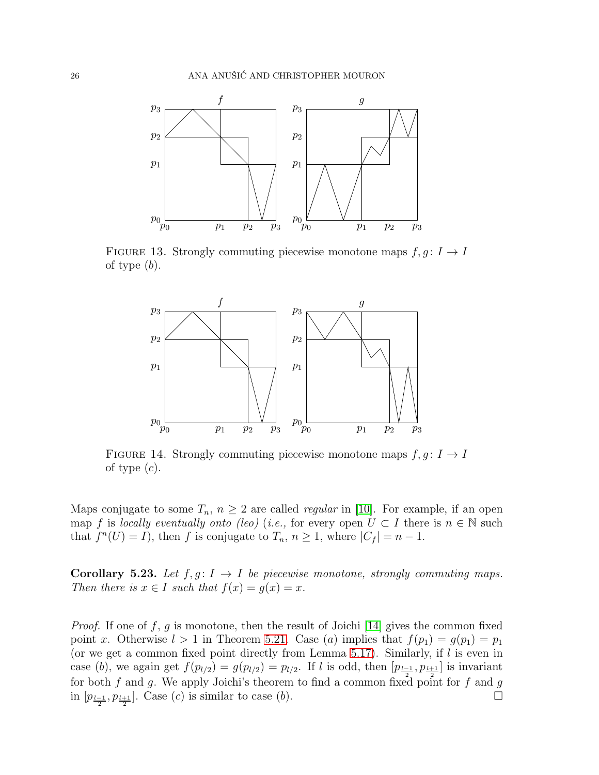

FIGURE 13. Strongly commuting piecewise monotone maps  $f, g: I \to I$ of type  $(b)$ .

<span id="page-25-0"></span>

<span id="page-25-1"></span>FIGURE 14. Strongly commuting piecewise monotone maps  $f, g: I \to I$ of type  $(c)$ .

Maps conjugate to some  $T_n$ ,  $n \geq 2$  are called *regular* in [\[10\]](#page-26-11). For example, if an open map f is *locally eventually onto (leo)* (*i.e.*, for every open  $U \subset I$  there is  $n \in \mathbb{N}$  such that  $f^{n}(U) = I$ , then f is conjugate to  $T_n$ ,  $n \geq 1$ , where  $|C_f| = n - 1$ .

**Corollary 5.23.** Let  $f, g: I \to I$  be piecewise monotone, strongly commuting maps. *Then there is*  $x \in I$  *such that*  $f(x) = g(x) = x$ *.* 

*Proof.* If one of f, g is monotone, then the result of Joichi [\[14\]](#page-26-10) gives the common fixed point x. Otherwise  $l > 1$  in Theorem [5.21.](#page-23-0) Case (a) implies that  $f(p_1) = g(p_1) = p_1$ (or we get a common fixed point directly from Lemma [5.17\)](#page-21-0). Similarly, if  $l$  is even in case (b), we again get  $f(p_{l/2}) = g(p_{l/2}) = p_{l/2}$ . If l is odd, then  $[p_{\frac{l-1}{2}}, p_{\frac{l+1}{2}}]$  is invariant for both f and g. We apply Joichi's theorem to find a common fixed point for f and g in  $[p_{\frac{l-1}{2}}, p_{\frac{l+1}{2}}]$ . Case (c) is similar to case (b).  $\Box$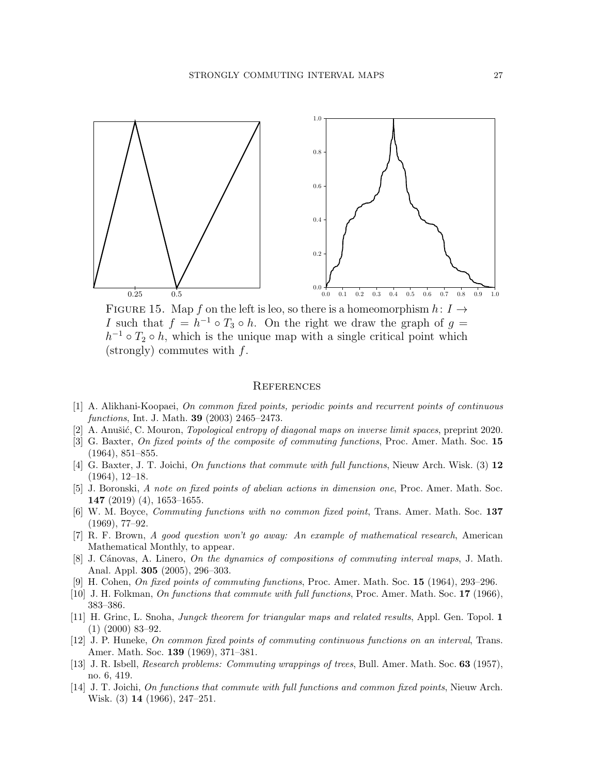

<span id="page-26-14"></span>FIGURE 15. Map f on the left is leo, so there is a homeomorphism  $h: I \rightarrow$ I such that  $f = h^{-1} \circ T_3 \circ h$ . On the right we draw the graph of  $g =$  $h^{-1} \circ T_2 \circ h$ , which is the unique map with a single critical point which  $(\text{strongly})$  commutes with  $f$ .

#### **REFERENCES**

- <span id="page-26-4"></span>[1] A. Alikhani-Koopaei, On common fixed points, periodic points and recurrent points of continuous functions, Int. J. Math. 39 (2003) 2465–2473.
- <span id="page-26-12"></span><span id="page-26-0"></span>[2] A. Anušić, C. Mouron, *Topological entropy of diagonal maps on inverse limit spaces*, preprint 2020.
- [3] G. Baxter, On fixed points of the composite of commuting functions, Proc. Amer. Math. Soc. 15 (1964), 851–855.
- <span id="page-26-13"></span>[4] G. Baxter, J. T. Joichi, On functions that commute with full functions, Nieuw Arch. Wisk. (3) 12 (1964), 12–18.
- <span id="page-26-7"></span>[5] J. Boronski, A note on fixed points of abelian actions in dimension one, Proc. Amer. Math. Soc. 147 (2019) (4), 1653–1655.
- <span id="page-26-2"></span>[6] W. M. Boyce, Commuting functions with no common fixed point, Trans. Amer. Math. Soc. 137 (1969), 77–92.
- <span id="page-26-8"></span>[7] R. F. Brown, A good question won't go away: An example of mathematical research, American Mathematical Monthly, to appear.
- <span id="page-26-5"></span>[8] J. Cánovas, A. Linero, On the dynamics of compositions of commuting interval maps, J. Math. Anal. Appl. 305 (2005), 296–303.
- <span id="page-26-11"></span><span id="page-26-9"></span>[9] H. Cohen, On fixed points of commuting functions, Proc. Amer. Math. Soc. 15 (1964), 293–296.
- <span id="page-26-6"></span>[10] J. H. Folkman, On functions that commute with full functions, Proc. Amer. Math. Soc. 17 (1966), 383–386.
- [11] H. Grinc, L. Snoha, Jungck theorem for triangular maps and related results, Appl. Gen. Topol. 1 (1) (2000) 83–92.
- <span id="page-26-3"></span>[12] J. P. Huneke, On common fixed points of commuting continuous functions on an interval, Trans. Amer. Math. Soc. 139 (1969), 371–381.
- <span id="page-26-1"></span>[13] J. R. Isbell, Research problems: Commuting wrappings of trees, Bull. Amer. Math. Soc. 63 (1957), no. 6, 419.
- <span id="page-26-10"></span>[14] J. T. Joichi, On functions that commute with full functions and common fixed points, Nieuw Arch. Wisk. (3) 14 (1966), 247–251.